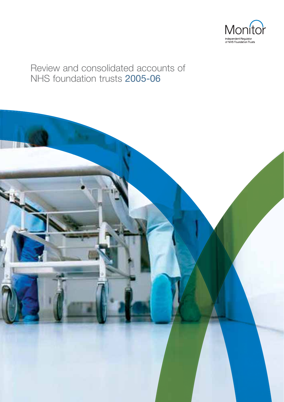

# Review and consolidated accounts of NHS foundation trusts 2005-06

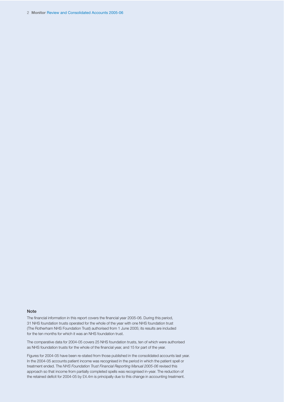2 **Monitor** Review and Consolidated Accounts 2005-06

#### **Note**

The financial information in this report covers the financial year 2005-06. During this period, 31 NHS foundation trusts operated for the whole of the year with one NHS foundation trust (The Rotherham NHS Foundation Trust) authorised from 1 June 2005; its results are included for the ten months for which it was an NHS foundation trust.

The comparative data for 2004-05 covers 25 NHS foundation trusts, ten of which were authorised as NHS foundation trusts for the whole of the financial year, and 15 for part of the year.

Figures for 2004-05 have been re-stated from those published in the consolidated accounts last year. In the 2004-05 accounts patient income was recognised in the period in which the patient spell or treatment ended. The *NHS Foundation Trust Financial Reporting Manual 2005-06* revised this approach so that income from partially completed spells was recognised in-year. The reduction of the retained deficit for 2004-05 by £4.4m is principally due to this change in accounting treatment.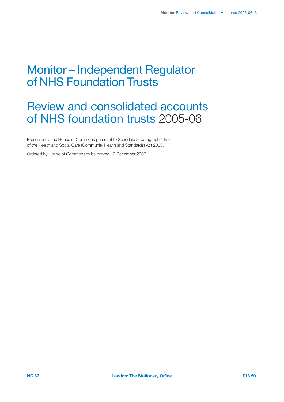# Monitor – Independent Regulator of NHS Foundation Trusts

# Review and consolidated accounts of NHS foundation trusts 2005-06

Presented to the House of Commons pursuant to Schedule 2, paragraph 11(5) of the Health and Social Care (Community Health and Standards) Act 2003.

Ordered by House of Commons to be printed 12 December 2006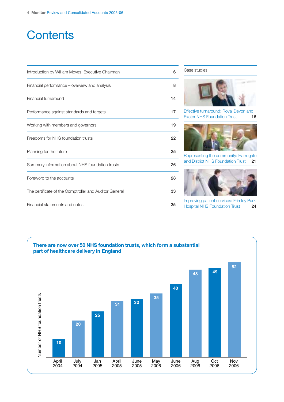# **Contents**

| Introduction by William Moyes, Executive Chairman      | 6  |
|--------------------------------------------------------|----|
| Financial performance - overview and analysis          | 8  |
| Financial turnaround                                   | 14 |
| Performance against standards and targets              | 17 |
| Working with members and governors                     | 19 |
| Freedoms for NHS foundation trusts                     | 22 |
| Planning for the future                                | 25 |
| Summary information about NHS foundation trusts        | 26 |
| Foreword to the accounts                               | 28 |
| The certificate of the Comptroller and Auditor General | 33 |
| Financial statements and notes                         | 35 |

#### Case studies



Effective turnaround: Royal Devon and Exeter NHS Foundation Trust **16**



Representing the community: Harrogate and District NHS Foundation Trust **21**



Improving patient services: Frimley Park Hospital NHS Foundation Trust **24**

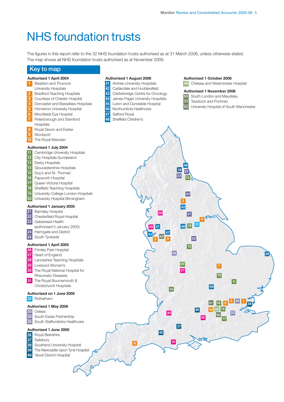# NHS foundation trusts

The figures in this report refer to the 32 NHS foundation trusts authorised as at 31 March 2006, unless otherwise stated. The map shows all NHS foundation trusts authorised as at November 2006.

Sheffield Children's

Northumbria Healthcare

Salford Royal

### **Key to map**

#### **Authorised 1 April 2004**

- Basildon and Thurrock
- University Hospitals
- Bradford Teaching Hospitals
- Countess of Chester Hospital
- Doncaster and Bassetlaw Hospitals
- Homerton University Hospital
- Moorfields Eve Hospital
- Peterborough and Stamford Hospitals
- Royal Devon and Exeter
- Stockport
- The Royal Marsden

#### **Authorised 1 July 2004**

- Cambridge University Hospitals
- City Hospitals Sunderland
- Derby Hospitals
- Gloucestershire Hospitals
- Guy's and St. Thomas'
- Papworth Hospital
- Queen Victoria Hospital
- Sheffield Teaching Hospitals
- University College London Hospitals
- University Hospital Birmingham

#### **Authorised 1 January 2005**

- Barnsley Hospital
- Chesterfield Royal Hospital
- Gateshead Health
	- (authorised 5 January 2005)
- Harrogate and District South Tyneside
- 

#### **Authorised 1 April 2005**

- Frimley Park Hospital
- Heart of England
- Lancashire Teaching Hospitals
- Liverpool Women's
- The Royal National Hospital for Rheumatic Diseases

**oundation** 

 The Royal Bournemouth & Christchurch Hospitals

#### **d Authorised on 1 June 2005**

Rotherham

#### **Authorised 1 May 2006**

- Oxleas
- South Essex Partnership
- South Staffordshire Healthcare

#### **Authorised 1 June 2006**

- **36** Royal Berkshire<br>**37** Salisbury
- Salisbury
- Southend University Hospital
- The Newcastle Upon Tyne Hospital
- Yeovil District Hospital



**Authorised 1 October 2006** Chelsea and Westminster Hospital

**Authorised 1 November 2006**

- 
- 

**50** South London and Maudsley<br>**51** Tavistock and Portman Tavistock and Portman

- University Hospital of South Manchester
- **1 9 52 6 10 18 <sup>12</sup> <sup>25</sup> <sup>47</sup>**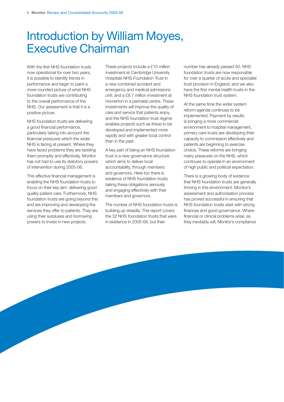# Introduction by William Moyes, Executive Chairman

With the first NHS foundation trusts now operational for over two years, it is possible to identify trends in performance and begin to paint a more rounded picture of what NHS foundation trusts are contributing to the overall performance of the NHS. Our assessment is that it is a positive picture.

NHS foundation trusts are delivering a good financial performance, particularly taking into account the financial pressures which the wider NHS is facing at present. Where they have faced problems they are tackling them promptly and effectively. Monitor has not had to use its statutory powers of intervention during 2005-06.

This effective financial management is enabling the NHS foundation trusts to focus on their key aim: delivering good quality patient care. Furthermore, NHS foundation trusts are going beyond this and are improving and developing the services they offer to patients. They are using their surpluses and borrowing powers to invest in new projects.

These projects include a £10 million investment at Cambridge University Hospitals NHS Foundation Trust in a new combined accident and emergency and medical admissions unit; and a £8.7 million investment at Homerton in a perinatal centre. These investments will improve the quality of care and service that patients enjoy, and the NHS foundation trust regime enables projects such as these to be developed and implemented more rapidly and with greater local control than in the past.

A key part of being an NHS foundation trust is a new governance structure which aims to deliver local accountability, through members and governors. Here too there is evidence of NHS foundation trusts taking these obligations seriously and engaging effectively with their members and governors.

The number of NHS foundation trusts is building up steadily. This report covers the 32 NHS foundation trusts that were in existence in 2005-06, but their

number has already passed 50. NHS foundation trusts are now responsible for over a quarter of acute and specialist trust provision in England, and we also have the first mental health trusts in the NHS foundation trust system.

At the same time the wider system reform agenda continues to be implemented. Payment by results is bringing a more commercial environment to hospital management, primary care trusts are developing their capacity to commission effectively and patients are beginning to exercise choice. These reforms are bringing many pressures on the NHS, which continues to operate in an environment of high public and political expectation.

There is a growing body of evidence that NHS foundation trusts are generally thriving in this environment. Monitor's assessment and authorisation process has proved successful in ensuring that NHS foundation trusts start with strong finances and good governance. Where financial or clinical problems arise, as they inevitably will, Monitor's compliance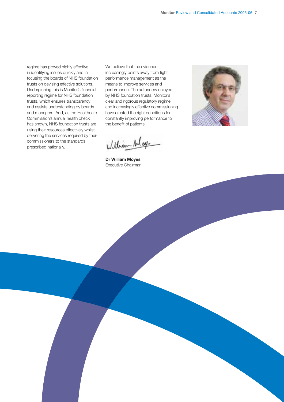regime has proved highly effective in identifying issues quickly and in focusing the boards of NHS foundation trusts on devising effective solutions. Underpinning this is Monitor's financial reporting regime for NHS foundation trusts, which ensures transparency and assists understanding by boards and managers. And, as the Healthcare Commission's annual health check has shown, NHS foundation trusts are using their resources effectively whilst delivering the services required by their commissioners to the standards prescribed nationally.

We believe that the evidence increasingly points away from tight performance management as the means to improve services and performance. The autonomy enjoyed by NHS foundation trusts, Monitor's clear and rigorous regulatory regime and increasingly effective commissioning have created the right conditions for constantly improving performance to the benefit of patients.



Withon Mag

**Dr William Moyes** Executive Chairman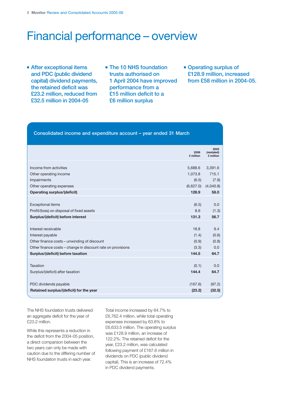# Financial performance – overview

- **After exceptional items and PDC (public dividend capital) dividend payments, the retained deficit was £23.2 million, reduced from £32.5 million in 2004-05**
- **The 10 NHS foundation trusts authorised on 1 April 2004 have improved performance from a £15 million deficit to a £6 million surplus**
- **Operating surplus of £128.9 million, increased from £58 million in 2004-05.**

#### **Consolidated income and expenditure account – year ended 31 March**

|                                                             | 2006<br>£ million | 2005<br>(restated)<br>£ million |
|-------------------------------------------------------------|-------------------|---------------------------------|
| Income from activities                                      | 5,688.6           | 3,391.6                         |
| Other operating income                                      | 1,073.8           | 715.1                           |
| Impairments                                                 | (6.5)             | (7.9)                           |
| Other operating expenses                                    | (6,627.0)         | (4,040.8)                       |
| <b>Operating surplus/(deficit)</b>                          | 128.9             | 58.0                            |
|                                                             |                   |                                 |
| <b>Exceptional items</b>                                    | (6.5)             | 0.0                             |
| Profit/(loss) on disposal of fixed assets                   | 8.9               | (1.3)                           |
| Surplus/(deficit) before interest                           | 131.3             | 56.7                            |
|                                                             |                   |                                 |
| Interest receivable                                         | 18.8              | 9.4                             |
| Interest payable                                            | (1.4)             | (0.6)                           |
| Other finance costs – unwinding of discount                 | (0.9)             | (0.8)                           |
| Other finance costs – change in discount rate on provisions | (3.3)             | 0.0                             |
| Surplus/(deficit) before taxation                           | 144.5             | 64.7                            |
|                                                             |                   |                                 |
| Taxation                                                    | (0.1)             | 0.0                             |
| Surplus/(deficit) after taxation                            | 144.4             | 64.7                            |
| PDC dividends payable                                       | (167.6)           | (97.2)                          |
| Retained surplus/(deficit) for the year                     | (23.2)            | (32.5)                          |
|                                                             |                   |                                 |

The NHS foundation trusts delivered an aggregate deficit for the year of £23.2 million.

While this represents a reduction in the deficit from the 2004-05 position, a direct comparison between the two years can only be made with caution due to the differing number of NHS foundation trusts in each year.

Total income increased by 64.7% to £6,762.4 million, while total operating expenses increased by 63.8% to £6,633.5 million. The operating surplus was £128.9 million, an increase of 122.2%. The retained deficit for the year, £23.2 million, was calculated following payment of £167.6 million in dividends on PDC (public dividend capital). This is an increase of 72.4% in PDC dividend payments.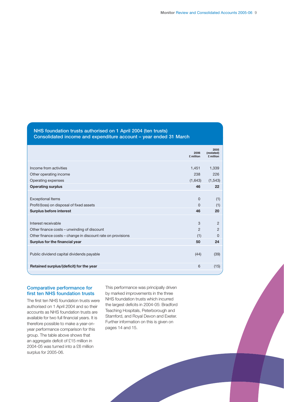### **NHS foundation trusts authorised on 1 April 2004 (ten trusts) Consolidated income and expenditure account – year ended 31 March**

|                                                             | 2006<br>£ million | 2005<br>(restated)<br>£ million |
|-------------------------------------------------------------|-------------------|---------------------------------|
| Income from activities                                      | 1,451             | 1,339                           |
| Other operating income                                      | 238               | 226                             |
| Operating expenses                                          | (1,643)           | (1, 543)                        |
| <b>Operating surplus</b>                                    | 46                | 22                              |
|                                                             |                   |                                 |
| <b>Exceptional Items</b>                                    | $\Omega$          | (1)                             |
| Profit/(loss) on disposal of fixed assets                   | $\Omega$          | (1)                             |
| <b>Surplus before interest</b>                              | 46                | 20                              |
|                                                             |                   |                                 |
| Interest receivable                                         | 3                 | $\overline{2}$                  |
| Other finance costs - unwinding of discount                 | $\mathcal{P}$     | $\overline{2}$                  |
| Other finance costs – change in discount rate on provisions | (1)               | 0                               |
| Surplus for the financial year                              | 50                | 24                              |
|                                                             |                   |                                 |
| Public dividend capital dividends payable                   | (44)              | (39)                            |
| Retained surplus/(deficit) for the year                     | 6                 | (15)                            |
|                                                             |                   |                                 |

#### **Comparative performance for first ten NHS foundation trusts**

The first ten NHS foundation trusts were authorised on 1 April 2004 and so their accounts as NHS foundation trusts are available for two full financial years. It is therefore possible to make a year-onyear performance comparison for this group. The table above shows that an aggregate deficit of £15 million in 2004-05 was turned into a £6 million surplus for 2005-06.

This performance was principally driven by marked improvements in the three NHS foundation trusts which incurred the largest deficits in 2004-05: Bradford Teaching Hospitals, Peterborough and Stamford, and Royal Devon and Exeter. Further information on this is given on pages 14 and 15.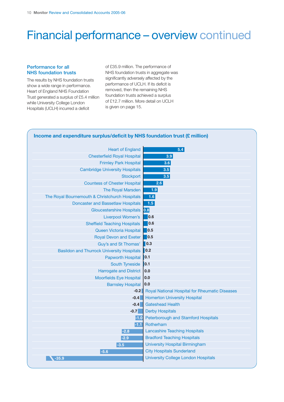# Financial performance – overview continued

#### **Performance for all NHS foundation trusts**

The results by NHS foundation trusts show a wide range in performance. Heart of England NHS Foundation Trust generated a surplus of £5.4 million while University College London Hospitals (UCLH) incurred a deficit

of £35.9 million. The performance of NHS foundation trusts in aggregate was significantly adversely affected by the performance of UCLH. If its deficit is removed, then the remaining NHS foundation trusts achieved a surplus of £12.7 million. More detail on UCLH is given on page 15.

#### **Income and expenditure surplus/deficit by NHS foundation trust (£ million)**

| <b>Heart of England</b>                           | 5.4                                            |
|---------------------------------------------------|------------------------------------------------|
| <b>Chesterfield Royal Hospital</b>                | 3.9                                            |
| <b>Frimley Park Hospital</b>                      | 3.6                                            |
| <b>Cambridge University Hospitals</b>             | 3.5                                            |
| <b>Stockport</b>                                  | 3.5                                            |
| <b>Countess of Chester Hospital</b>               | 2.6                                            |
| <b>The Royal Marsden</b>                          | 1.9                                            |
| The Royal Bournemouth & Christchurch Hospitals    | 1.6                                            |
| <b>Doncaster and Bassetlaw Hospitals</b>          | 1.5                                            |
| Gloucestershire Hospitals 0.8                     |                                                |
| Liverpool Women's                                 | 0.6                                            |
| <b>Sheffield Teaching Hospitals</b>               | 0.6                                            |
| Queen Victoria Hospital                           | $\blacksquare$ 0.5                             |
| <b>Royal Devon and Exeter</b>                     | 0.5                                            |
| Guy's and St Thomas'                              | $\blacksquare$ 0.3                             |
| <b>Basildon and Thurrock University Hospitals</b> | 0.2                                            |
| <b>Papworth Hospital</b>                          | 0.1                                            |
| South Tyneside                                    | 0.1                                            |
| <b>Harrogate and District</b>                     | 0.0                                            |
| <b>Moorfields Eye Hospital</b>                    | 0.0                                            |
| <b>Barnsley Hospital</b>                          | 0.0                                            |
| $-0.2$                                            | Royal National Hospital for Rheumatic Diseases |
| $-0.4$                                            | <b>Homerton University Hospital</b>            |
| $-0.4$                                            | <b>Gateshead Health</b>                        |
| $-0.7$                                            | <b>Derby Hospitals</b>                         |
| $-1.0$                                            | Peterborough and Stamford Hospitals            |
| $-1.1$                                            | Rotherham                                      |
| $-2.8$                                            | <b>Lancashire Teaching Hospitals</b>           |
| $-2.9$                                            | <b>Bradford Teaching Hospitals</b>             |
| $-3.5$                                            | <b>University Hospital Birmingham</b>          |
| $-5.6$                                            | <b>City Hospitals Sunderland</b>               |
| -35.9                                             | <b>University College London Hospitals</b>     |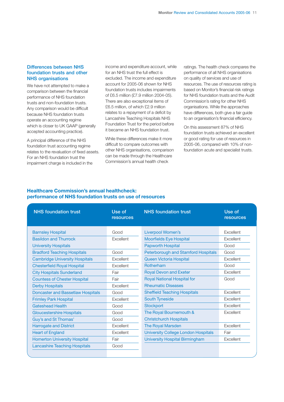#### **Differences between NHS foundation trusts and other NHS organisations**

We have not attempted to make a comparison between the financial performance of NHS foundation trusts and non-foundation trusts. Any comparison would be difficult because NHS foundation trusts operate an accounting regime which is closer to UK GAAP (generally accepted accounting practice).

A principal difference of the NHS foundation trust accounting regime relates to the revaluation of fixed assets. For an NHS foundation trust the impairment charge is included in the

income and expenditure account, while for an NHS trust the full effect is excluded. The income and expenditure account for 2005-06 shown for NHS foundation trusts includes impairments of £6.5 million (£7.9 million 2004-05). There are also exceptional items of £6.5 million, of which £2.9 million relates to a repayment of a deficit by Lancashire Teaching Hospitals NHS Foundation Trust for the period before it became an NHS foundation trust.

While these differences make it more difficult to compare outcomes with other NHS organisations, comparison can be made through the Healthcare Commission's annual health check

ratings. The health check compares the performance of all NHS organisations on quality of services and use of resources. The use of resources rating is based on Monitor's financial risk ratings for NHS foundation trusts and the Audit Commission's rating for other NHS organisations. While the approaches have differences, both give a fair guide to an organisation's financial efficiency.

On this assessment 87% of NHS foundation trusts achieved an excellent or good rating for use of resources in 2005-06, compared with 10% of nonfoundation acute and specialist trusts.

#### **Healthcare Commission's annual healthcheck: performance of NHS foundation trusts on use of resources**

| <b>NHS foundation trust</b>              | Use of<br>resources | <b>NHS</b> foundation trust                | Use of<br>resources |
|------------------------------------------|---------------------|--------------------------------------------|---------------------|
| <b>Barnsley Hospital</b>                 | Good                | <b>Liverpool Women's</b>                   | Excellent           |
| <b>Basildon and Thurrock</b>             | Excellent           | <b>Moorfields Eye Hospital</b>             | Excellent           |
| <b>University Hospitals</b>              |                     | <b>Papworth Hospital</b>                   | Good                |
| <b>Bradford Teaching Hospitals</b>       | Good                | <b>Peterborough and Stamford Hospitals</b> | Good                |
| <b>Cambridge University Hospitals</b>    | Excellent           | Queen Victoria Hospital                    | Excellent           |
| <b>Chesterfield Royal Hospital</b>       | Excellent           | Rotherham                                  | Good                |
| <b>City Hospitals Sunderland</b>         | Fair                | <b>Royal Devon and Exeter</b>              | Excellent           |
| <b>Countess of Chester Hospital</b>      | Fair                | <b>Royal National Hospital for</b>         | Good                |
| <b>Derby Hospitals</b>                   | Excellent           | <b>Rheumatic Diseases</b>                  |                     |
| <b>Doncaster and Bassetlaw Hospitals</b> | Good                | <b>Sheffield Teaching Hospitals</b>        | <b>Excellent</b>    |
| <b>Frimley Park Hospital</b>             | Excellent           | <b>South Tyneside</b>                      | <b>Excellent</b>    |
| <b>Gateshead Health</b>                  | Good                | <b>Stockport</b>                           | <b>Excellent</b>    |
| Gloucestershire Hospitals                | Good                | The Royal Bournemouth &                    | Excellent           |
| Guy's and St Thomas'                     | Good                | <b>Christchurch Hospitals</b>              |                     |
| <b>Harrogate and District</b>            | Excellent           | The Royal Marsden                          | Excellent           |
| <b>Heart of England</b>                  | Excellent           | <b>University College London Hospitals</b> | Fair                |
| <b>Homerton University Hospital</b>      | Fair                | <b>University Hospital Birmingham</b>      | Excellent           |
| <b>Lancashire Teaching Hospitals</b>     | Good                |                                            |                     |
|                                          |                     |                                            |                     |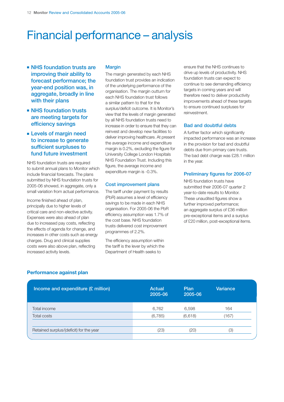# Financial performance – analysis

- **NHS** foundation trusts are **improving their ability to forecast performance; the year-end position was, in aggregate, broadly in line with their plans**
- **NHS** foundation trusts **are meeting targets for efficiency savings**
- **Levels of margin need to increase to generate sufficient surpluses to fund future investment**

NHS foundation trusts are required to submit annual plans to Monitor which include financial forecasts. The plans submitted by NHS foundation trusts for 2005-06 showed, in aggregate, only a small variation from actual performance.

Income finished ahead of plan, principally due to higher levels of critical care and non-elective activity. Expenses were also ahead of plan due to increased pay costs, reflecting the effects of agenda for change, and increases in other costs such as energy charges. Drug and clinical supplies costs were also above plan, reflecting increased activity levels.

#### **Margin**

The margin generated by each NHS foundation trust provides an indication of the underlying performance of the organisation. The margin outturn for each NHS foundation trust follows a similar pattern to that for the surplus/deficit outcome. It is Monitor's view that the levels of margin generated by all NHS foundation trusts need to increase in order to ensure that they can reinvest and develop new facilities to deliver improving healthcare. At present the average income and expenditure margin is 0.2%, excluding the figure for University College London Hospitals NHS Foundation Trust. Including this figure, the average income and expenditure margin is -0.3%.

#### **Cost improvement plans**

The tariff under payment by results (PbR) assumes a level of efficiency savings to be made in each NHS organisation. For 2005-06 the PbR efficiency assumption was 1.7% of the cost base. NHS foundation trusts delivered cost improvement programmes of 2.2%.

The efficiency assumption within the tariff is the lever by which the Department of Health seeks to

ensure that the NHS continues to drive up levels of productivity. NHS foundation trusts can expect to continue to see demanding efficiency targets in coming years and will therefore need to deliver productivity improvements ahead of these targets to ensure continued surpluses for reinvestment.

### **Bad and doubtful debts**

A further factor which significantly impacted performance was an increase in the provision for bad and doubtful debts due from primary care trusts. The bad debt charge was £28.1 million in the year.

#### **Preliminary figures for 2006-07**

NHS foundation trusts have submitted their 2006-07 quarter 2 year-to-date results to Monitor. These unaudited figures show a further improved performance; an aggregate surplus of £36 million pre-exceptional items and a surplus of £20 million, post-exceptional items.

| Performance against plan |  |
|--------------------------|--|
|                          |  |

| Income and expenditure (£ million)      | <b>Actual</b><br>2005-06 | Plan<br>2005-06 | Variance |  |
|-----------------------------------------|--------------------------|-----------------|----------|--|
| Total income                            | 6,762                    | 6,598           | 164      |  |
| <b>Total costs</b>                      | (6, 785)                 | (6,618)         | (167)    |  |
|                                         |                          |                 |          |  |
| Retained surplus/(deficit) for the year | (23)                     | (20)            | (3)      |  |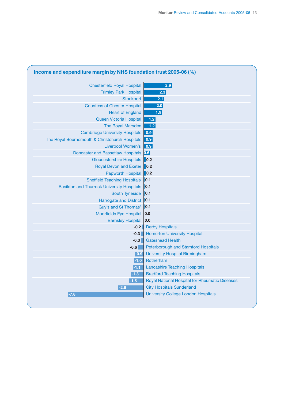| <b>Chesterfield Royal Hospital</b>                | 2.9                                            |
|---------------------------------------------------|------------------------------------------------|
| <b>Frimley Park Hospital</b>                      | 2.3                                            |
| <b>Stockport</b>                                  | 2.1                                            |
| <b>Countess of Chester Hospital</b>               | 2.0                                            |
| <b>Heart of England</b>                           | 1.9                                            |
| Queen Victoria Hospital                           | $1.2$                                          |
| <b>The Royal Marsden</b>                          | $1.2$                                          |
| <b>Cambridge University Hospitals</b>             | 0.9                                            |
| The Royal Bournemouth & Christchurch Hospitals    | 0.9                                            |
| Liverpool Women's                                 | 0.9                                            |
| <b>Doncaster and Bassetlaw Hospitals</b>          | 0.6                                            |
| <b>Gloucestershire Hospitals</b>                  | $\vert$ 0.2                                    |
| Royal Devon and Exeter 0.2                        |                                                |
| Papworth Hospital 0.2                             |                                                |
| <b>Sheffield Teaching Hospitals</b>               | 0.1                                            |
| <b>Basildon and Thurrock University Hospitals</b> | $\vert$ 0.1                                    |
| <b>South Tyneside</b>                             | 0.1                                            |
| <b>Harrogate and District</b>                     | $\vert$ 0.1                                    |
| Guy's and St Thomas'                              | 0.1                                            |
| <b>Moorfields Eye Hospital</b>                    | 0.0                                            |
| <b>Barnsley Hospital</b>                          | 0.0                                            |
| $-0.2$                                            | <b>Derby Hospitals</b>                         |
| $-0.3$                                            | <b>Homerton University Hospital</b>            |
| $-0.3$                                            | <b>Gateshead Health</b>                        |
| $-0.6$                                            | Peterborough and Stamford Hospitals            |
| $-0.9$                                            | <b>University Hospital Birmingham</b>          |
| $-1.0$                                            | Rotherham                                      |
| $-1.1$                                            | <b>Lancashire Teaching Hospitals</b>           |
| $-1.3$                                            | <b>Bradford Teaching Hospitals</b>             |
| $-1.5$                                            | Royal National Hospital for Rheumatic Diseases |
| $-2.6$                                            | <b>City Hospitals Sunderland</b>               |
| $-7.8$                                            | <b>University College London Hospitals</b>     |

## **Income and expenditure margin by NHS foundation trust 2005-06 (%)**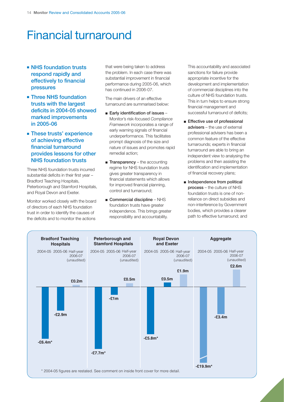# Financial turnaround

- **NHS** foundation trusts **respond rapidly and effectively to financial pressures**
- **Three NHS foundation trusts with the largest deficits in 2004-05 showed marked improvements in 2005-06**
- **These trusts' experience of achieving effective financial turnaround provides lessons for other NHS foundation trusts**

Three NHS foundation trusts incurred substantial deficits in their first year – Bradford Teaching Hospitals, Peterborough and Stamford Hospitals, and Royal Devon and Exeter.

Monitor worked closely with the board of directors of each NHS foundation trust in order to identify the causes of the deficits and to monitor the actions

that were being taken to address the problem. In each case there was substantial improvement in financial performance during 2005-06, which has continued in 2006-07.

The main drivers of an effective turnaround are summarised below:

- **Early identification of issues** Monitor's risk-focused *Compliance Framework* incorporates a range of early warning signals of financial underperformance. This facilitates prompt diagnosis of the size and nature of issues and promotes rapid remedial action;
- **Transparency** the accounting regime for NHS foundation trusts gives greater transparency in financial statements which allows for improved financial planning, control and turnaround;
- **Commercial discipline** NHS foundation trusts have greater independence. This brings greater responsibility and accountability.

This accountability and associated sanctions for failure provide appropriate incentive for the development and implementation of commercial disciplines into the culture of NHS foundation trusts. This in turn helps to ensure strong financial management and successful turnaround of deficits;

- **Effective use of professional advisers** – the use of external professional advisers has been a common feature of the effective turnarounds; experts in financial turnaround are able to bring an independent view to analysing the problems and then assisting the identification and implementation of financial recovery plans;
- **Independence from political process** – the culture of NHS foundation trusts is one of nonreliance on direct subsidies and non-interference by Government bodies, which provides a clearer path to effective turnaround; and

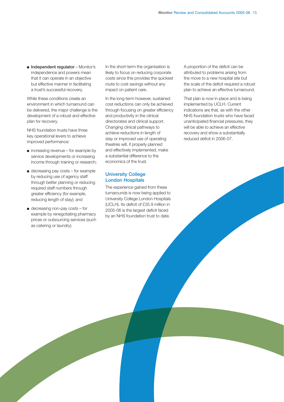■ **Independent regulator** – Monitor's independence and powers mean that it can operate in an objective but effective manner in facilitating a trust's successful recovery.

While these conditions create an environment in which turnaround can be delivered, the major challenge is the development of a robust and effective plan for recovery.

NHS foundation trusts have three key operational levers to achieve improved performance:

- $\blacksquare$  increasing revenue for example by service developments or increasing income through training or research;
- decreasing pay costs for example by reducing use of agency staff through better planning or reducing required staff numbers through greater efficiency (for example, reducing length of stay); and
- decreasing non-pay costs for example by renegotiating pharmacy prices or outsourcing services (such as catering or laundry).

In the short-term the organisation is likely to focus on reducing corporate costs since this provides the quickest route to cost savings without any impact on patient care.

In the long-term however, sustained cost reductions can only be achieved through focusing on greater efficiency and productivity in the clinical directorates and clinical support. Changing clinical pathways to achieve reductions in length of stay or improved use of operating theatres will, if properly planned and effectively implemented, make a substantial difference to the economics of the trust.

#### **University College London Hospitals**

The experience gained from these turnarounds is now being applied to University College London Hospitals (UCLH). Its deficit of £35.9 million in 2005-06 is the largest deficit faced by an NHS foundation trust to date.

A proportion of the deficit can be attributed to problems arising from the move to a new hospital site but the scale of the deficit required a robust plan to achieve an effective turnaround.

That plan is now in place and is being implemented by UCLH. Current indications are that, as with the other NHS foundation trusts who have faced unanticipated financial pressures, they will be able to achieve an effective recovery and show a substantially reduced deficit in 2006-07.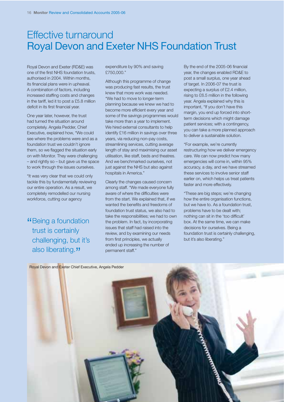## Effective turnaround Royal Devon and Exeter NHS Foundation Trust

Royal Devon and Exeter (RD&E) was one of the first NHS foundation trusts, authorised in 2004. Within months, its financial plans were in upheaval. A combination of factors, including increased staffing costs and changes in the tariff, led it to post a £5.8 million deficit in its first financial year.

One year later, however, the trust had turned the situation around completely. Angela Pedder, Chief Executive, explained how, "We could see where the problems were and as a foundation trust we couldn't ignore them, so we flagged the situation early on with Monitor. They were challenging – and rightly so – but gave us the space to work through the issues ourselves.

"It was very clear that we could only tackle this by fundamentally reviewing our entire operation. As a result, we completely remodelled our nursing workforce, cutting our agency

"Being a foundation" trust is certainly challenging, but it's also liberating."

expenditure by 90% and saving £750,000."

Although this programme of change was producing fast results, the trust knew that more work was needed. "We had to move to longer-term planning because we knew we had to become more efficient every year and some of the savings programmes would take more than a year to implement. We hired external consultants to help identify £16 million in savings over three years, via reducing non-pay costs, streamlining services, cutting average length of stay and maximising our asset utilisation, like staff, beds and theatres. And we benchmarked ourselves, not just against the NHS but also against hospitals in America."

Clearly the changes caused concern among staff. "We made everyone fully aware of where the difficulties were from the start. We explained that, if we wanted the benefits and freedoms of foundation trust status, we also had to take the responsibilities; we had to own the problem. In fact, by incorporating issues that staff had raised into the review, and by examining our needs from first principles, we actually ended up increasing the number of permanent staff."

By the end of the 2005-06 financial year, the changes enabled RD&E to post a small surplus, one year ahead of target. In 2006-07 the trust is expecting a surplus of £2.4 million, rising to £6.5 million in the following year. Angela explained why this is important, "If you don't have this margin, you end up forced into shortterm decisions which might damage patient services; with a contingency, you can take a more planned approach to deliver a sustainable solution.

"For example, we're currently restructuring how we deliver emergency care. We can now predict how many emergencies will come in, within 95% accuracy, a day, and we have streamed these services to involve senior staff earlier on, which helps us treat patients faster and more effectively.

"These are big steps; we're changing how the entire organisation functions, but we have to. As a foundation trust, problems have to be dealt with; nothing can sit in the 'too difficult' box. At the same time, we can make decisions for ourselves. Being a foundation trust is certainly challenging, but it's also liberating."

Royal Devon and Exeter Chief Executive, Angela Pedder

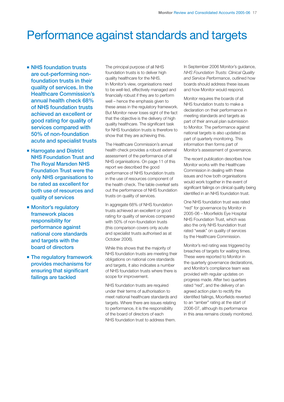# Performance against standards and targets

- **NHS** foundation trusts **are out-performing nonfoundation trusts in their quality of services. In the Healthcare Commission's annual health check 68% of NHS foundation trusts achieved an excellent or good rating for quality of services compared with 50% of non-foundation acute and specialist trusts**
- **Harrogate and District NHS Foundation Trust and The Royal Marsden NHS Foundation Trust were the only NHS organisations to be rated as excellent for both use of resources and quality of services**
- **Monitor's regulatory framework places responsibility for performance against national core standards and targets with the board of directors**
- **The regulatory framework provides mechanisms for ensuring that significant failings are tackled**

The principal purpose of all NHS foundation trusts is to deliver high quality healthcare for the NHS. In Monitor's view, organisations need to be well-led, effectively managed and financially robust if they are to perform well – hence the emphasis given to these areas in the regulatory framework. But Monitor never loses sight of the fact that the objective is the delivery of high quality healthcare. The significant task for NHS foundation trusts is therefore to show that they are achieving this.

The Healthcare Commission's annual health check provides a robust external assessment of the performance of all NHS organisations. On page 11 of this report we described the good performance of NHS foundation trusts in the use of resources component of the health check. The table overleaf sets out the performance of NHS foundation trusts on quality of services.

In aggregate 68% of NHS foundation trusts achieved an excellent or good rating for quality of services compared with 50% of non-foundation trusts (this comparison covers only acute and specialist trusts authorised as at October 2006).

While this shows that the majority of NHS foundation trusts are meeting their obligations on national core standards and targets, it also indicates a number of NHS foundation trusts where there is scope for improvement.

NHS foundation trusts are required under their terms of authorisation to meet national healthcare standards and targets. Where there are issues relating to performance, it is the responsibility of the board of directors of each NHS foundation trust to address them.

In September 2006 Monitor's guidance, *NHS Foundation Trusts: Clinical Quality and Service Performance*, outlined how boards should address these issues and how Monitor would respond.

Monitor requires the boards of all NHS foundation trusts to make a declaration on their performance in meeting standards and targets as part of their annual plan submission to Monitor. The performance against national targets is also updated as part of quarterly monitoring. This information then forms part of Monitor's assessment of governance.

The recent publication describes how Monitor works with the Healthcare Commission in dealing with these issues and how both organisations would work together in the event of significant failings on clinical quality being identified in an NHS foundation trust.

One NHS foundation trust was rated "red" for governance by Monitor in 2005-06 – Moorfields Eye Hospital NHS Foundation Trust, which was also the only NHS foundation trust rated "weak" on quality of services by the Healthcare Commission.

Monitor's red rating was triggered by breaches of targets for waiting times. These were reported to Monitor in the quarterly governance declarations, and Monitor's compliance team was provided with regular updates on progress made. After two quarters rated "red", and the delivery of an agreed action plan to rectify the identified failings, Moorfields reverted to an "amber" rating at the start of 2006-07, although its performance in this area remains closely monitored.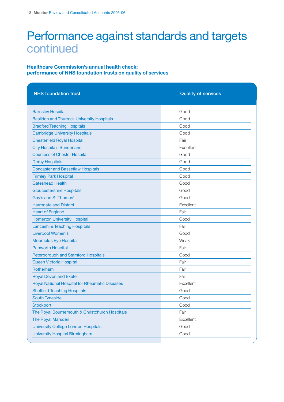# Performance against standards and targets continued

### **Healthcare Commission's annual health check: performance of NHS foundation trusts on quality of services**

| <b>NHS</b> foundation trust                       | <b>Quality of services</b> |
|---------------------------------------------------|----------------------------|
|                                                   |                            |
| <b>Barnsley Hospital</b>                          | Good                       |
| <b>Basildon and Thurrock University Hospitals</b> | Good                       |
| <b>Bradford Teaching Hospitals</b>                | Good                       |
| <b>Cambridge University Hospitals</b>             | Good                       |
| <b>Chesterfield Royal Hospital</b>                | Fair                       |
| <b>City Hospitals Sunderland</b>                  | Excellent                  |
| <b>Countess of Chester Hospital</b>               | Good                       |
| <b>Derby Hospitals</b>                            | Good                       |
| <b>Doncaster and Bassetlaw Hospitals</b>          | Good                       |
| <b>Frimley Park Hospital</b>                      | Good                       |
| <b>Gateshead Health</b>                           | Good                       |
| <b>Gloucestershire Hospitals</b>                  | Good                       |
| Guy's and St Thomas'                              | Good                       |
| <b>Harrogate and District</b>                     | Excellent                  |
| <b>Heart of England</b>                           | Fair                       |
| <b>Homerton University Hospital</b>               | Good                       |
| <b>Lancashire Teaching Hospitals</b>              | Fair                       |
| Liverpool Women's                                 | Good                       |
| <b>Moorfields Eye Hospital</b>                    | Weak                       |
| <b>Papworth Hospital</b>                          | Fair                       |
| <b>Peterborough and Stamford Hospitals</b>        | Good                       |
| Queen Victoria Hospital                           | Fair                       |
| Rotherham                                         | Fair                       |
| <b>Royal Devon and Exeter</b>                     | Fair                       |
| Royal National Hospital for Rheumatic Diseases    | Excellent                  |
| <b>Sheffield Teaching Hospitals</b>               | Good                       |
| South Tyneside                                    | Good                       |
| Stockport                                         | Good                       |
| The Royal Bournemouth & Christchurch Hospitals    | Fair                       |
| The Royal Marsden                                 | Excellent                  |
| <b>University College London Hospitals</b>        | Good                       |
| <b>University Hospital Birmingham</b>             | Good                       |
|                                                   |                            |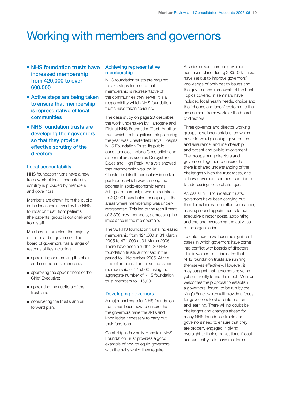# Working with members and governors

- **NHS** foundation trusts have **increased membership from 420,000 to over 600,000**
- **Active steps are being taken to ensure that membership is representative of local communities**
- **NHS** foundation trusts are **developing their governors so that they provide effective scrutiny of the directors**

#### **Local accountability**

NHS foundation trusts have a new framework of local accountability; scrutiny is provided by members and governors.

Members are drawn from the public in the local area served by the NHS foundation trust, from patients (the patients' group is optional) and from staff.

Members in turn elect the majority of the board of governors. The board of governors has a range of responsibilities including:

- appointing or removing the chair and non-executive directors;
- approving the appointment of the Chief Executive;
- appointing the auditors of the trust; and
- considering the trust's annual forward plan.

#### **Achieving representative membership**

NHS foundation trusts are required to take steps to ensure that membership is representative of the communities they serve. It is a responsibility which NHS foundation trusts have taken seriously.

The case study on page 20 describes the work undertaken by Harrogate and District NHS Foundation Trust. Another trust which took significant steps during the year was Chesterfield Royal Hospital NHS Foundation Trust. Its public constituencies include Chesterfield and also rural areas such as Derbyshire Dales and High Peak. Analysis showed that membership was low in Chesterfield itself, particularly in certain postcodes which were among the poorest in socio-economic terms. A targeted campaign was undertaken to 40,000 households, principally in the areas where membership was underrepresented. This led to the recruitment of 3,300 new members, addressing the imbalance in the membership.

The 32 NHS foundation trusts increased membership from 421,000 at 31 March 2005 to 471,000 at 31 March 2006. There have been a further 20 NHS foundation trusts authorised in the period to 1 November 2006. At the time of authorisation these trusts had membership of 145,000 taking the aggregate number of NHS foundation trust members to 616,000.

#### **Developing governors**

A major challenge for NHS foundation trusts has been how to ensure that the governors have the skills and knowledge necessary to carry out their functions.

Cambridge University Hospitals NHS Foundation Trust provides a good example of how to equip governors with the skills which they require.

A series of seminars for governors has taken place during 2005-06. These have set out to improve governors' knowledge of both health issues and the governance framework of the trust. Topics covered in seminars have included local health needs, choice and the 'choose and book' system and the assessment framework for the board of directors.

Three governor and director working groups have been established which cover forward planning, governance and assurance, and membership and patient and public involvement. The groups bring directors and governors together to ensure that there is shared understanding of the challenges which the trust faces, and of how governors can best contribute to addressing those challenges.

Across all NHS foundation trusts, governors have been carrying out their formal roles in an effective manner, making sound appointments to nonexecutive director posts, appointing auditors and overseeing the activities of the organisation.

To date there have been no significant cases in which governors have come into conflict with boards of directors. This is welcome if it indicates that NHS foundation trusts are running themselves effectively. However, it may suggest that governors have not yet sufficiently found their feet. Monitor welcomes the proposal to establish a governors' forum, to be run by the King's Fund, which will provide a focus for governors to share information and learning. There will no doubt be challenges and changes ahead for many NHS foundation trusts and governors need to ensure that they are properly engaged in giving oversight to their organisations if local accountability is to have real force.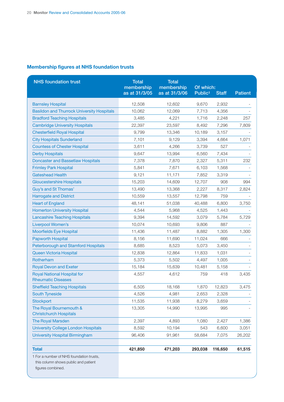## **Membership figures at NHS foundation trusts**

| <b>NHS foundation trust</b>                                                                           | <b>Total</b><br><b>Total</b><br>membership<br>membership |               | Of which:           |              |                |
|-------------------------------------------------------------------------------------------------------|----------------------------------------------------------|---------------|---------------------|--------------|----------------|
|                                                                                                       | as at 31/3/05                                            | as at 31/3/06 | Public <sup>1</sup> | <b>Staff</b> | <b>Patient</b> |
| <b>Barnsley Hospital</b>                                                                              | 12,508                                                   | 12,602        | 9,670               | 2,932        |                |
| <b>Basildon and Thurrock University Hospitals</b>                                                     | 10,062                                                   | 12,069        | 7,713               | 4,356        |                |
| <b>Bradford Teaching Hospitals</b>                                                                    | 3,485                                                    | 4,221         | 1,716               | 2,248        | 257            |
| <b>Cambridge University Hospitals</b>                                                                 | 22,397                                                   | 23,597        | 8,492               | 7,296        | 7,809          |
| <b>Chesterfield Royal Hospital</b>                                                                    | 9,799                                                    | 13,346        | 10,189              | 3,157        |                |
| <b>City Hospitals Sunderland</b>                                                                      | 7,101                                                    | 9,129         | 3,394               | 4,664        | 1,071          |
| <b>Countess of Chester Hospital</b>                                                                   | 3,611                                                    | 4,266         | 3,739               | 527          |                |
| <b>Derby Hospitals</b>                                                                                | 9,647                                                    | 13,994        | 6,560               | 7,434        |                |
| <b>Doncaster and Bassetlaw Hospitals</b>                                                              | 7,378                                                    | 7,870         | 2,327               | 5,311        | 232            |
| <b>Frimley Park Hospital</b>                                                                          | 5,841                                                    | 7,671         | 6,103               | 1,568        |                |
| <b>Gateshead Health</b>                                                                               | 9,121                                                    | 11,171        | 7,852               | 3,319        |                |
| <b>Gloucestershire Hospitals</b>                                                                      | 15,203                                                   | 14,609        | 12,707              | 908          | 994            |
| Guy's and St Thomas'                                                                                  | 13,490                                                   | 13,368        | 2,227               | 8,317        | 2,824          |
| <b>Harrogate and District</b>                                                                         | 10,559                                                   | 13,557        | 12,798              | 759          |                |
| <b>Heart of England</b>                                                                               | 48,141                                                   | 51,038        | 40,488              | 6,800        | 3,750          |
| <b>Homerton University Hospital</b>                                                                   | 4,544                                                    | 5,968         | 4,525               | 1,443        |                |
| <b>Lancashire Teaching Hospitals</b>                                                                  | 9,394                                                    | 14,592        | 3,079               | 5,784        | 5,729          |
| <b>Liverpool Women's</b>                                                                              | 10,074                                                   | 10,693        | 9,806               | 887          |                |
| <b>Moorfields Eye Hospital</b>                                                                        | 11,436                                                   | 11,487        | 8,882               | 1,305        | 1,300          |
| <b>Papworth Hospital</b>                                                                              | 8,156                                                    | 11,690        | 11,024              | 666          |                |
| <b>Peterborough and Stamford Hospitals</b>                                                            | 8,685                                                    | 8,523         | 5,073               | 3,450        |                |
| Queen Victoria Hospital                                                                               | 12,838                                                   | 12,864        | 11,833              | 1,031        |                |
| Rotherham                                                                                             | 5,373                                                    | 5,502         | 4,497               | 1,005        |                |
| <b>Royal Devon and Exeter</b>                                                                         | 15,184                                                   | 15,639        | 10,481              | 5,158        |                |
| <b>Royal National Hospital for</b><br><b>Rheumatic Diseases</b>                                       | 4,557                                                    | 4,612         | 759                 | 418          | 3,435          |
| <b>Sheffield Teaching Hospitals</b>                                                                   | 6,505                                                    | 18,168        | 1,870               | 12,823       | 3,475          |
| <b>South Tyneside</b>                                                                                 | 4,526                                                    | 4,981         | 2,653               | 2,328        |                |
| <b>Stockport</b>                                                                                      | 11,535                                                   | 11,938        | 8,279               | 3,659        |                |
| The Royal Bournemouth &<br><b>Christchurch Hospitals</b>                                              | 13,305                                                   | 14,990        | 13,995              | 995          |                |
| <b>The Royal Marsden</b>                                                                              | 2,397                                                    | 4,893         | 1,080               | 2,427        | 1,386          |
| <b>University College London Hospitals</b>                                                            | 8,592                                                    | 10,194        | 543                 | 6,600        | 3,051          |
| <b>University Hospital Birmingham</b>                                                                 | 96,406                                                   | 91,961        | 58,684              | 7,075        | 26,202         |
|                                                                                                       |                                                          |               |                     |              |                |
| <b>Total</b>                                                                                          | 421,850                                                  | 471,203       | 293,038             | 116,650      | 61,515         |
| 1 For a number of NHS foundation trusts,<br>this column shows public and patient<br>figures combined. |                                                          |               |                     |              |                |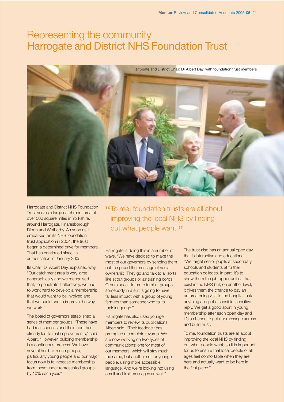## Representing the community Harrogate and District NHS Foundation Trust



Harrogate and District NHS Foundation Trust serves a large catchment area of over 500 square miles in Yorkshire, around Harrogate, Knaresborough, Ripon and Wetherby. As soon as it embarked on its NHS foundation trust application in 2004, the trust began a determined drive for members. That has continued since its authorisation in January 2005.

Its Chair, Dr Albert Day, explained why, "Our catchment area is very large geographically and we recognised that, to penetrate it effectively, we had to work hard to develop a membership that would want to be involved and that we could use to improve the way we work."

The board of governors established a series of member groups. "These have had real success and their input has already led to real improvements," said Albert. "However, building membership is a continuous process. We have several hard-to-reach groups, particularly young people and our major focus now is to increase membership from these under-represented groups by 10% each year."

"To me, foundation trusts are all about improving the local NHS by finding out what people want."

Harrogate is doing this in a number of ways. "We have decided to make the most of our governors by sending them out to spread the message of social ownership. They go and talk to all sorts, like scout groups or air training corps. Others speak to more familiar groups – somebody in a suit is going to have far less impact with a group of young farmers than someone who talks their language."

Harrogate has also used younger members to review its publications. Albert said, "Their feedback has prompted a complete revamp. We are now working on two types of communications: one for most of our members, which will stay much the same, but another set for younger people, using more accessible language. And we're looking into using email and text messages as well."

The trust also has an annual open day that is interactive and educational. "We target senior pupils at secondary schools and students at further education colleges. In part, it's to show them the job opportunities that exist in the NHS but, on another level, it gives them the chance to pay an unthreatening visit to the hospital, ask anything and get a sensible, sensitive reply. We get a good spurt in young membership after each open day and it's a chance to get our message across and build trust.

To me, foundation trusts are all about improving the local NHS by finding out what people want, so it is important for us to ensure that local people of all ages feel comfortable when they are here and actually want to be here in the first place."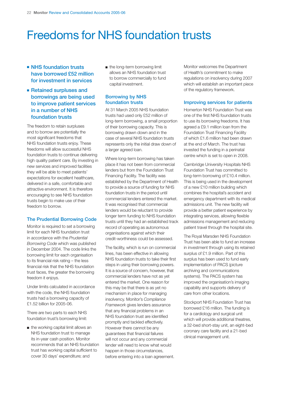# Freedoms for NHS foundation trusts

- **NHS** foundation trusts **have borrowed £52 million for investment in services**
- **Retained surpluses and borrowings are being used to improve patient services in a number of NHS foundation trusts**

The freedom to retain surpluses and to borrow are potentially the most significant freedoms that NHS foundation trusts enjoy. These freedoms will allow successful NHS foundation trusts to continue delivering high quality patient care. By investing in new services and improved facilities they will be able to meet patients' expectations for excellent healthcare, delivered in a safe, comfortable and attractive environment. It is therefore encouraging to see NHS foundation trusts begin to make use of their freedom to borrow.

#### **The Prudential Borrowing Code**

Monitor is required to set a borrowing limit for each NHS foundation trust in accordance with the *Prudential Borrowing Code* which was published in December 2004. The code links the borrowing limit for each organisation to its financial risk rating – the less financial risk that the NHS foundation trust faces, the greater the borrowing freedom it enjoys.

Under limits calculated in accordance with the code, the NHS foundation trusts had a borrowing capacity of £1.52 billion for 2005-06.

There are two parts to each NHS foundation trust's borrowing limit:

■ the working capital limit allows an NHS foundation trust to manage its in-year cash position. Monitor recommends that an NHS foundation trust has working capital sufficient to cover 30 days' expenditure; and

■ the long-term borrowing limit allows an NHS foundation trust to borrow commercially to fund capital investment.

### **Borrowing by NHS foundation trusts**

At 31 March 2005 NHS foundation trusts had used only £52 million of long-term borrowing, a small proportion of their borrowing capacity. This is borrowing drawn down and in the case of several NHS foundation trusts represents only the initial draw down of a larger agreed loan.

Where long-term borrowing has taken place it has not been from commercial lenders but from the Foundation Trust Financing Facility. The facility was established by the Department of Health to provide a source of funding for NHS foundation trusts in the period until commercial lenders entered the market. It was recognised that commercial lenders would be reluctant to provide longer term funding to NHS foundation trusts until they had an established track record of operating as autonomous organisations against which their credit-worthiness could be assessed.

The facility, which is run on commercial lines, has been effective in allowing NHS foundation trusts to take their first steps in using their borrowing powers. It is a source of concern, however, that commercial lenders have not as yet entered the market. One reason for this may be that there is as yet no mechanism in place for managing insolvency. Monitor's *Compliance Framework* gives lenders assurance that any financial problems in an NHS foundation trust are identified promptly and tackled effectively. However there cannot be any guarantees that financial failures will not occur and any commercial lender will need to know what would happen in those circumstances, before entering into a loan agreement.

Monitor welcomes the Department of Health's commitment to make regulations on insolvency during 2007 which will establish an important piece of the regulatory framework.

#### **Improving services for patients**

Homerton NHS Foundation Trust was one of the first NHS foundation trusts to use its borrowing freedoms. It has agreed a £9.1 million loan from the Foundation Trust Financing Facility of which £1.6 million had been drawn at the end of March. The trust has invested the funding in a perinatal centre which is set to open in 2008.

Cambridge University Hospitals NHS Foundation Trust has committed to long-term borrowing of £10.4 million. This is being used in the development of a new £10 million building which combines the hospital's accident and emergency department with its medical admissions unit. The new facility will provide a better patient experience by integrating services, allowing flexible admissions management and reducing patient travel through the hospital site.

The Royal Marsden NHS Foundation Trust has been able to fund an increase in investment through using its retained surplus of £1.9 million. Part of this surplus has been used to fund early implementation of PACS (picture archiving and communications systems). The PACS system has improved the organisation's imaging capability and supports delivery of care from other locations.

Stockport NHS Foundation Trust has borrowed £16 million. The funding is for a cardiology and surgical unit which will provide additional theatres, a 32-bed short-stay unit, an eight-bed coronary care facility and a 21-bed clinical management unit.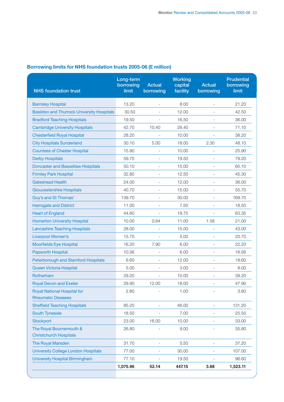|  | Borrowing limits for NHS foundation trusts 2005-06 (£ million) |  |
|--|----------------------------------------------------------------|--|
|  |                                                                |  |

| <b>NHS foundation trust</b>                                     | Long-term<br>borrowing<br>limit | <b>Actual</b><br>borrowing | <b>Working</b><br>capital<br>facility | <b>Actual</b><br>borrowing | <b>Prudential</b><br>borrowing<br>limit |
|-----------------------------------------------------------------|---------------------------------|----------------------------|---------------------------------------|----------------------------|-----------------------------------------|
| <b>Barnsley Hospital</b>                                        | 13.20                           | $\overline{a}$             | 8.00                                  | $\overline{a}$             | 21.20                                   |
| <b>Basildon and Thurrock University Hospitals</b>               | 30.50                           | $\overline{\phantom{m}}$   | 12.00                                 |                            | 42.50                                   |
| <b>Bradford Teaching Hospitals</b>                              | 19.50                           |                            | 16.50                                 |                            | 36.00                                   |
| <b>Cambridge University Hospitals</b>                           | 42.70                           | 10.40                      | 28.40                                 |                            | 71.10                                   |
| <b>Chesterfield Royal Hospital</b>                              | 28.20                           |                            | 10.00                                 |                            | 38.20                                   |
| <b>City Hospitals Sunderland</b>                                | 30.10                           | 5.00                       | 18.00                                 | 2.30                       | 48.10                                   |
| <b>Countess of Chester Hospital</b>                             | 15.90                           | $\overline{\phantom{0}}$   | 10.00                                 | $\qquad \qquad -$          | 25.90                                   |
| <b>Derby Hospitals</b>                                          | 59.70                           |                            | 19.50                                 |                            | 79.20                                   |
| <b>Doncaster and Bassetlaw Hospitals</b>                        | 50.10                           | $\overline{\phantom{0}}$   | 15.00                                 | $\overline{\phantom{m}}$   | 65.10                                   |
| <b>Frimley Park Hospital</b>                                    | 32.80                           |                            | 12.50                                 |                            | 45.30                                   |
| <b>Gateshead Health</b>                                         | 24.00                           | $\overline{a}$             | 12.00                                 |                            | 36.00                                   |
| <b>Gloucestershire Hospitals</b>                                | 40.70                           | $\overline{a}$             | 15.00                                 |                            | 55.70                                   |
| Guy's and St Thomas'                                            | 139.70                          |                            | 30.00                                 |                            | 169.70                                  |
| <b>Harrogate and District</b>                                   | 11.00                           |                            | 7.50                                  |                            | 18.50                                   |
| <b>Heart of England</b>                                         | 44.60                           |                            | 18.75                                 |                            | 63.35                                   |
| <b>Homerton University Hospital</b>                             | 10.00                           | 0.84                       | 11.00                                 | 1.58                       | 21.00                                   |
| <b>Lancashire Teaching Hospitals</b>                            | 28.00                           |                            | 15.00                                 |                            | 43.00                                   |
| <b>Liverpool Women's</b>                                        | 15.70                           |                            | 5.00                                  |                            | 20.70                                   |
| <b>Moorfields Eye Hospital</b>                                  | 16.20                           | 7.90                       | 6.00                                  |                            | 22.20                                   |
| <b>Papworth Hospital</b>                                        | 10.56                           | $\overline{\phantom{0}}$   | 6.00                                  | $\overline{\phantom{0}}$   | 16.56                                   |
| <b>Peterborough and Stamford Hospitals</b>                      | 6.60                            | $\overline{\phantom{a}}$   | 12.00                                 | $\overline{a}$             | 18.60                                   |
| Queen Victoria Hospital                                         | 5.00                            |                            | 3.00                                  |                            | 8.00                                    |
| Rotherham                                                       | 29.20                           |                            | 10.00                                 |                            | 39.20                                   |
| <b>Royal Devon and Exeter</b>                                   | 29.90                           | 12.00                      | 18.00                                 |                            | 47.90                                   |
| <b>Royal National Hospital for</b><br><b>Rheumatic Diseases</b> | 2.80                            |                            | 1.00                                  |                            | 3.80                                    |
| <b>Sheffield Teaching Hospitals</b>                             | 85.20                           |                            | 46.00                                 |                            | 131.20                                  |
| <b>South Tyneside</b>                                           | 18.50                           |                            | 7.00                                  |                            | 25.50                                   |
| <b>Stockport</b>                                                | 23.00                           | 16.00                      | 10.00                                 |                            | 33.00                                   |
| The Royal Bournemouth &<br><b>Christchurch Hospitals</b>        | 26.80                           |                            | 9.00                                  |                            | 35.80                                   |
| The Royal Marsden                                               | 31.70                           |                            | 5.50                                  |                            | 37.20                                   |
| <b>University College London Hospitals</b>                      | 77.00                           |                            | 30.00                                 |                            | 107.00                                  |
| <b>University Hospital Birmingham</b>                           | 77.10                           |                            | 19.50                                 |                            | 96.60                                   |
|                                                                 | 1,075.96                        | 52.14                      | 447.15                                | 3.88                       | 1,523.11                                |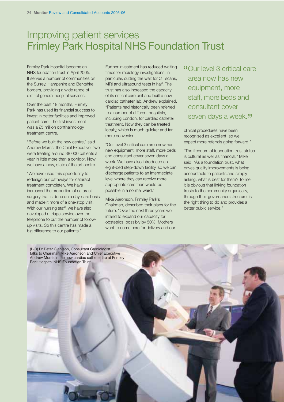## Improving patient services Frimley Park Hospital NHS Foundation Trust

Frimley Park Hospital became an NHS foundation trust in April 2005. It serves a number of communities on the Surrey, Hampshire and Berkshire borders, providing a wide range of district general hospital services.

Over the past 18 months, Frimley Park has used its financial success to invest in better facilities and improved patient care. The first investment was a £5 million ophthalmology treatment centre.

"Before we built the new centre," said Andrew Morris, the Chief Executive, "we were treating around 38,000 patients a year in little more than a corridor. Now we have a new, state of the art centre.

"We have used this opportunity to redesign our pathways for cataract treatment completely. We have increased the proportion of cataract surgery that is done on a day-care basis and made it more of a one-stop visit. With our nursing staff, we have also developed a triage service over the telephone to cut the number of followup visits. So this centre has made a big difference to our patients."

Further investment has reduced waiting times for radiology investigations; in particular, cutting the wait for CT scans, MRI and ultrasound tests in half. The trust has also increased the capacity of its critical care unit and built a new cardiac catheter lab. Andrew explained, "Patients had historically been referred to a number of different hospitals, including London, for cardiac catheter treatment. Now they can be treated locally, which is much quicker and far more convenient.

"Our level 3 critical care area now has new equipment, more staff, more beds and consultant cover seven days a week. We have also introduced an eight-bed step-down facility, so we can discharge patients to an intermediate level where they can receive more appropriate care than would be possible in a normal ward."

Mike Aaronson, Frimley Park's Chairman, described their plans for the future. "Over the next three years we intend to expand our capacity for obstetrics, possibly by 50%. Mothers want to come here for delivery and our

"Our level 3 critical care area now has new equipment, more staff, more beds and consultant cover seven days a week."

clinical procedures have been recognised as excellent, so we expect more referrals going forward."

"The freedom of foundation trust status is cultural as well as financial," Mike said. "As a foundation trust, what drives quality improvements is being accountable to patients and simply asking, what is best for them? To me, it is obvious that linking foundation trusts to the community organically, through their governance structure, is the right thing to do and provides a better public service."

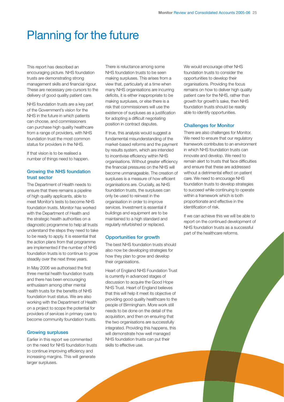# Planning for the future

This report has described an encouraging picture. NHS foundation trusts are demonstrating strong management skills and financial rigour. These are necessary pre-cursors to the delivery of good quality patient care.

NHS foundation trusts are a key part of the Government's vision for the NHS in the future in which patients can choose, and commissioners can purchase high quality healthcare from a range of providers, with NHS foundation trust the most common status for providers in the NHS.

If that vision is to be realised a number of things need to happen.

#### **Growing the NHS foundation trust sector**

The Department of Health needs to ensure that there remains a pipeline of high quality applicants, able to meet Monitor's tests to become NHS foundation trusts. Monitor has worked with the Department of Health and the strategic health authorities on a diagnostic programme to help all trusts understand the steps they need to take to be ready to apply. It is essential that the action plans from that programme are implemented if the number of NHS foundation trusts is to continue to grow steadily over the next three years.

In May 2006 we authorised the first three mental health foundation trusts and there has been encouraging enthusiasm among other mental health trusts for the benefits of NHS foundation trust status. We are also working with the Department of Health on a project to scope the potential for providers of services in primary care to become community foundation trusts.

#### **Growing surpluses**

Earlier in this report we commented on the need for NHS foundation trusts to continue improving efficiency and increasing margins. This will generate larger surpluses.

There is reluctance among some NHS foundation trusts to be seen making surpluses. This arises from a view that, particularly at a time when many NHS organisations are incurring deficits, it is either inappropriate to be making surpluses, or else there is a risk that commissioners will use the existence of surpluses as a justification for adopting a difficult negotiating position in contract disputes.

If true, this analysis would suggest a fundamental misunderstanding of the market-based reforms and the payment by results system, which are intended to incentivise efficiency within NHS organisations. Without greater efficiency the financial pressures on the NHS will become unmanageable. The creation of surpluses is a measure of how efficient organisations are. Crucially, as NHS foundation trusts, the surpluses can only be used to reinvest in the organisation in order to improve services. Investment is essential if buildings and equipment are to be maintained to a high standard and regularly refurbished or replaced.

#### **Opportunities for growth**

The best NHS foundation trusts should also now be developing strategies for how they plan to grow and develop their organisations.

Heart of England NHS Foundation Trust is currently in advanced stages of discussion to acquire the Good Hope NHS Trust. Heart of England believes that this will help it meet its objective of providing good quality healthcare to the people of Birmingham. More work still needs to be done on the detail of the acquisition, and then on ensuring that the two organisations are successfully integrated. Providing this happens, this will demonstrate how well managed NHS foundation trusts can put their skills to effective use.

We would encourage other NHS foundation trusts to consider the opportunities to develop their organisations. Providing the focus remains on how to deliver high quality patient care for the NHS, rather than growth for growth's sake, then NHS foundation trusts should be readily able to identify opportunities.

#### **Challenges for Monitor**

There are also challenges for Monitor. We need to ensure that our regulatory framework contributes to an environment in which NHS foundation trusts can innovate and develop. We need to remain alert to trusts that face difficulties and ensure that these are addressed without a detrimental effect on patient care. We need to encourage NHS foundation trusts to develop strategies to succeed while continuing to operate within a framework which is both proportionate and effective in the identification of risk.

If we can achieve this we will be able to report on the continued development of NHS foundation trusts as a successful part of the healthcare reforms.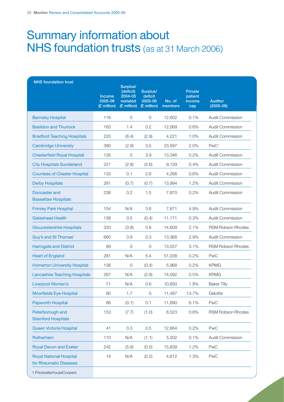# Summary information about NHS foundation trusts (as at 31 March 2006)

| <b>NHS</b> foundation trust                              | Income<br>2005-06<br>(£ million) | Surplus/<br>(deficit)<br>2004-05<br>restated<br>(£ million) | Surplus/<br>deficit<br>2005-06<br>(£ million) | No. of<br>members | <b>Private</b><br>patient<br>income<br>cap | <b>Auditor</b><br>$(2005-06)$ |
|----------------------------------------------------------|----------------------------------|-------------------------------------------------------------|-----------------------------------------------|-------------------|--------------------------------------------|-------------------------------|
| <b>Barnsley Hospital</b>                                 | 116                              | $\circ$                                                     | $\circ$                                       | 12,602            | 0.1%                                       | <b>Audit Commission</b>       |
| <b>Basildon and Thurrock</b>                             | 163                              | 1.4                                                         | 0.2                                           | 12,069            | 0.6%                                       | <b>Audit Commission</b>       |
| <b>Bradford Teaching Hospitals</b>                       | 220                              | (6.4)                                                       | (2.9)                                         | 4,221             | 1.0%                                       | <b>Audit Commission</b>       |
| <b>Cambridge University</b>                              | 380                              | (2.9)                                                       | 3.5                                           | 23,597            | 2.0%                                       | PwC <sup>1</sup>              |
| <b>Chesterfield Royal Hospital</b>                       | 135                              | $\circ$                                                     | 3.9                                           | 13,346            | 0.2%                                       | <b>Audit Commission</b>       |
| <b>City Hospitals Sunderland</b>                         | 221                              | (2.8)                                                       | (5.6)                                         | 9,129             | 0.4%                                       | <b>Audit Commission</b>       |
| <b>Countess of Chester Hospital</b>                      | 133                              | 0.1                                                         | 2.6                                           | 4,266             | 0.6%                                       | <b>Audit Commission</b>       |
| <b>Derby Hospitals</b>                                   | 281                              | (0.7)                                                       | (0.7)                                         | 13,994            | 1.2%                                       | Audit Commission              |
| Doncaster and<br><b>Bassetlaw Hospitals</b>              | 236                              | 0.2                                                         | 1.5                                           | 7,870             | 0.2%                                       | <b>Audit Commission</b>       |
| <b>Frimley Park Hospital</b>                             | 154                              | N/A                                                         | 3.6                                           | 7,671             | 4.9%                                       | Audit Commission              |
| <b>Gateshead Health</b>                                  | 138                              | 0.5                                                         | (0.4)                                         | 11,171            | 0.3%                                       | <b>Audit Commission</b>       |
| <b>Gloucestershire Hospitals</b>                         | 333                              | (3.8)                                                       | 0.8                                           | 14,609            | 2.1%                                       | RSM Robson Rhodes             |
| Guy's and St Thomas'                                     | 660                              | 3.9                                                         | 0.3                                           | 13,368            | 2.9%                                       | <b>Audit Commission</b>       |
| <b>Harrogate and District</b>                            | 89                               | $\circ$                                                     | $\circ$                                       | 13,557            | 3.1%                                       | RSM Robson Rhodes             |
| <b>Heart of England</b>                                  | 281                              | N/A                                                         | 5.4                                           | 51,038            | 0.2%                                       | PwC                           |
| <b>Homerton University Hospital</b>                      | 138                              | $\circ$                                                     | (0.4)                                         | 5,968             | 0.2%                                       | <b>KPMG</b>                   |
| <b>Lancashire Teaching Hospitals</b>                     | 267                              | N/A                                                         | (2.8)                                         | 14,592            | 0.5%                                       | <b>KPMG</b>                   |
| Liverpool Women's                                        | 71                               | N/A                                                         | 0.6                                           | 10,693            | 1.8%                                       | <b>Baker Tilly</b>            |
| <b>Moorfields Eye Hospital</b>                           | 80                               | 1.7                                                         | 0                                             | 11,487            | 13.7%                                      | Deloitte                      |
| <b>Papworth Hospital</b>                                 | 86                               | (0.1)                                                       | 0.1                                           | 11,690            | 6.1%                                       | <b>PwC</b>                    |
| Peterborough and<br><b>Stamford Hospitals</b>            | 153                              | (7.7)                                                       | (1.0)                                         | 8,523             | 0.6%                                       | RSM Robson Rhodes             |
| Queen Victoria Hospital                                  | 41                               | 0.3                                                         | 0.5                                           | 12,864            | 0.2%                                       | <b>PwC</b>                    |
| Rotherham                                                | 110                              | N/A                                                         | (1.1)                                         | 5,502             | 0.1%                                       | Audit Commission              |
| <b>Royal Devon and Exeter</b>                            | 242                              | (5.8)                                                       | (0.5)                                         | 15,639            | 1.2%                                       | PwC                           |
| <b>Royal National Hospital</b><br>for Rheumatic Diseases | 14                               | N/A                                                         | (0.2)                                         | 4,612             | 1.3%                                       | PwC                           |
| 1 PricewaterhouseCoopers                                 |                                  |                                                             |                                               |                   |                                            |                               |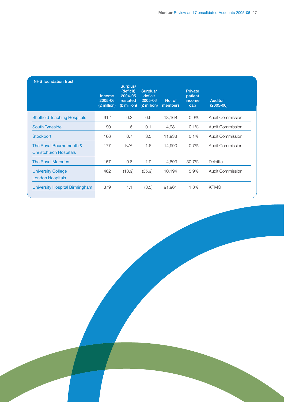| <b>NHS</b> foundation trust                              | <b>Income</b><br>2005-06<br>(£ million) | Surplus/<br>(deficit)<br>$2004 - 05$<br>restated<br>(£ million) | Surplus/<br>deficit<br>2005-06<br>(£ million) | No. of<br>members | <b>Private</b><br>patient<br>income<br>cap | <b>Auditor</b><br>$(2005-06)$ |
|----------------------------------------------------------|-----------------------------------------|-----------------------------------------------------------------|-----------------------------------------------|-------------------|--------------------------------------------|-------------------------------|
| <b>Sheffield Teaching Hospitals</b>                      | 612                                     | 0.3                                                             | 0.6                                           | 18,168            | 0.9%                                       | Audit Commission              |
| <b>South Tyneside</b>                                    | 90                                      | 1.6                                                             | 0.1                                           | 4,981             | 0.1%                                       | Audit Commission              |
| Stockport                                                | 166                                     | 0.7                                                             | 3.5                                           | 11,938            | 0.1%                                       | <b>Audit Commission</b>       |
| The Royal Bournemouth &<br><b>Christchurch Hospitals</b> | 177                                     | N/A                                                             | 1.6                                           | 14,990            | 0.7%                                       | Audit Commission              |
| <b>The Royal Marsden</b>                                 | 157                                     | 0.8                                                             | 1.9                                           | 4,893             | 30.7%                                      | Deloitte                      |
| <b>University College</b><br><b>London Hospitals</b>     | 462                                     | (13.9)                                                          | (35.9)                                        | 10,194            | 5.9%                                       | Audit Commission              |
| University Hospital Birmingham                           | 379                                     | 1.1                                                             | (3.5)                                         | 91,961            | 1.3%                                       | <b>KPMG</b>                   |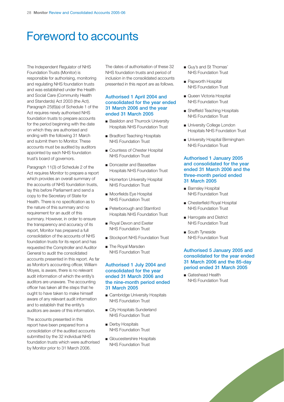# Foreword to accounts

The Independent Regulator of NHS Foundation Trusts (Monitor) is responsible for authorising, monitoring and regulating NHS foundation trusts and was established under the Health and Social Care (Community Health and Standards) Act 2003 (the Act). Paragraph 25(6)(a) of Schedule 1 of the Act requires newly authorised NHS foundation trusts to prepare accounts for the period beginning with the date on which they are authorised and ending with the following 31 March and submit them to Monitor. These accounts must be audited by auditors appointed by each NHS foundation trust's board of governors.

Paragraph 11(3) of Schedule 2 of the Act requires Monitor to prepare a report which provides an overall summary of the accounts of NHS foundation trusts, lay this before Parliament and send a copy to the Secretary of State for Health. There is no specification as to the nature of this summary and no requirement for an audit of this summary. However, in order to ensure the transparency and accuracy of its report, Monitor has prepared a full consolidation of the accounts of NHS foundation trusts for its report and has requested the Comptroller and Auditor General to audit the consolidated accounts presented in this report. As far as Monitor's accounting officer, William Moyes, is aware, there is no relevant audit information of which the entity's auditors are unaware. The accounting officer has taken all the steps that he ought to have taken to make himself aware of any relevant audit information and to establish that the entity's auditors are aware of this information.

The accounts presented in this report have been prepared from a consolidation of the audited accounts submitted by the 32 individual NHS foundation trusts which were authorised by Monitor prior to 31 March 2006.

The dates of authorisation of these 32 NHS foundation trusts and period of inclusion in the consolidated accounts presented in this report are as follows.

#### **Authorised 1 April 2004 and consolidated for the year ended 31 March 2006 and the year ended 31 March 2005**

- Basildon and Thurrock University Hospitals NHS Foundation Trust
- Bradford Teaching Hospitals NHS Foundation Trust
- Countess of Chester Hospital NHS Foundation Trust
- Doncaster and Bassetlaw Hospitals NHS Foundation Trust
- Homerton University Hospital NHS Foundation Trust
- Moorfields Eye Hospital NHS Foundation Trust
- Peterborough and Stamford Hospitals NHS Foundation Trust
- Royal Devon and Exeter NHS Foundation Trust
- Stockport NHS Foundation Trust
- The Royal Marsden NHS Foundation Trust

#### **Authorised 1 July 2004 and consolidated for the year ended 31 March 2006 and the nine-month period ended 31 March 2005**

- Cambridge University Hospitals NHS Foundation Trust
- City Hospitals Sunderland NHS Foundation Trust
- Derby Hospitals NHS Foundation Trust
- Gloucestershire Hospitals NHS Foundation Trust
- Guy's and St Thomas' NHS Foundation Trust
- Papworth Hospital NHS Foundation Trust
- Queen Victoria Hospital NHS Foundation Trust
- Sheffield Teaching Hospitals NHS Foundation Trust
- University College London Hospitals NHS Foundation Trust
- University Hospital Birmingham NHS Foundation Trust

#### **Authorised 1 January 2005 and consolidated for the year ended 31 March 2006 and the three-month period ended 31 March 2005**

- Barnsley Hospital NHS Foundation Trust
- Chesterfield Royal Hospital NHS Foundation Trust
- Harrogate and District NHS Foundation Trust
- South Tyneside NHS Foundation Trust

#### **Authorised 5 January 2005 and consolidated for the year ended 31 March 2006 and the 85-day period ended 31 March 2005**

■ Gateshead Health NHS Foundation Trust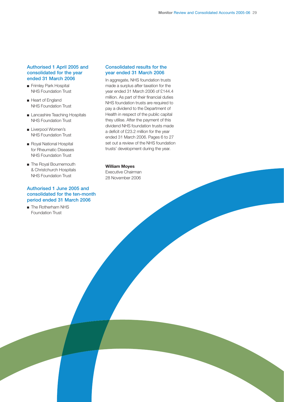#### **Authorised 1 April 2005 and consolidated for the year ended 31 March 2006**

- Frimley Park Hospital NHS Foundation Trust
- Heart of England NHS Foundation Trust
- Lancashire Teaching Hospitals NHS Foundation Trust
- Liverpool Women's NHS Foundation Trust
- Royal National Hospital for Rheumatic Diseases NHS Foundation Trust
- The Royal Bournemouth & Christchurch Hospitals NHS Foundation Trust

#### **Authorised 1 June 2005 and consolidated for the ten-month period ended 31 March 2006**

■ The Rotherham NHS Foundation Trust

#### **Consolidated results for the year ended 31 March 2006**

In aggregate, NHS foundation trusts made a surplus after taxation for the year ended 31 March 2006 of £144.4 million. As part of their financial duties NHS foundation trusts are required to pay a dividend to the Department of Health in respect of the public capital they utilise. After the payment of this dividend NHS foundation trusts made a deficit of £23.2 million for the year ended 31 March 2006. Pages 6 to 27 set out a review of the NHS foundation trusts' development during the year.

### **William Moyes**

Executive Chairman 28 November 2006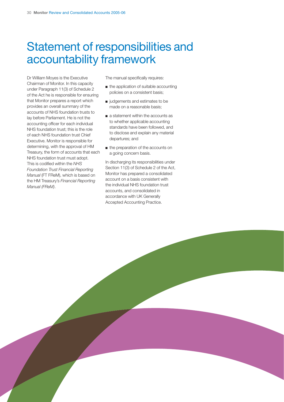# Statement of responsibilities and accountability framework

Dr William Moyes is the Executive Chairman of Monitor. In this capacity under Paragraph 11(3) of Schedule 2 of the Act he is responsible for ensuring that Monitor prepares a report which provides an overall summary of the accounts of NHS foundation trusts to lay before Parliament. He is not the accounting officer for each individual NHS foundation trust; this is the role of each NHS foundation trust Chief Executive. Monitor is responsible for determining, with the approval of HM Treasury, the form of accounts that each NHS foundation trust must adopt. This is codified within the *NHS Foundation Trust Financial Reporting Manual* (FT FReM), which is based on the HM Treasury's *Financial Reporting Manual (FReM)*.

The manual specifically requires:

- the application of suitable accounting policies on a consistent basis;
- judgements and estimates to be made on a reasonable basis;
- a statement within the accounts as to whether applicable accounting standards have been followed, and to disclose and explain any material departures; and
- the preparation of the accounts on a going concern basis.

In discharging its responsibilities under Section 11(3) of Schedule 2 of the Act, Monitor has prepared a consolidated account on a basis consistent with the individual NHS foundation trust accounts, and consolidated in accordance with UK Generally Accepted Accounting Practice.

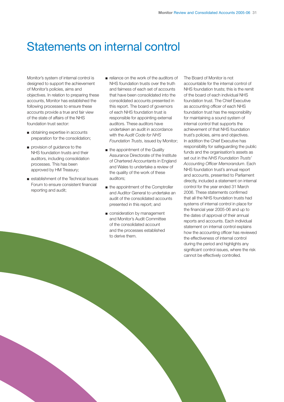# Statements on internal control

Monitor's system of internal control is designed to support the achievement of Monitor's policies, aims and objectives. In relation to preparing these accounts, Monitor has established the following processes to ensure these accounts provide a true and fair view of the state of affairs of the NHS foundation trust sector:

- obtaining expertise in accounts preparation for the consolidation;
- provision of guidance to the NHS foundation trusts and their auditors, including consolidation processes. This has been approved by HM Treasury;
- establishment of the Technical Issues Forum to ensure consistent financial reporting and audit;
- reliance on the work of the auditors of NHS foundation trusts over the truth and fairness of each set of accounts that have been consolidated into the consolidated accounts presented in this report. The board of governors of each NHS foundation trust is responsible for appointing external auditors. These auditors have undertaken an audit in accordance with the *Audit Code for NHS Foundation Trusts*, issued by Monitor;
- the appointment of the Quality Assurance Directorate of the Institute of Chartered Accountants in England and Wales to undertake a review of the quality of the work of these auditors;
- the appointment of the Comptroller and Auditor General to undertake an audit of the consolidated accounts presented in this report; and
- consideration by management and Monitor's Audit Committee of the consolidated account and the processes established to derive them.

The Board of Monitor is not accountable for the internal control of NHS foundation trusts; this is the remit of the board of each individual NHS foundation trust. The Chief Executive as accounting officer of each NHS foundation trust has the responsibility for maintaining a sound system of internal control that supports the achievement of that NHS foundation trust's policies, aims and objectives. In addition the Chief Executive has responsibility for safeguarding the public funds and the organisation's assets as set out in the *NHS Foundation Trusts' Accounting Officer Memorandum*. Each NHS foundation trust's annual report and accounts, presented to Parliament directly, included a statement on internal control for the year ended 31 March 2006. These statements confirmed that all the NHS foundation trusts had systems of internal control in place for the financial year 2005-06 and up to the dates of approval of their annual reports and accounts. Each individual statement on internal control explains how the accounting officer has reviewed the effectiveness of internal control during the period and highlights any significant control issues, where the risk cannot be effectively controlled.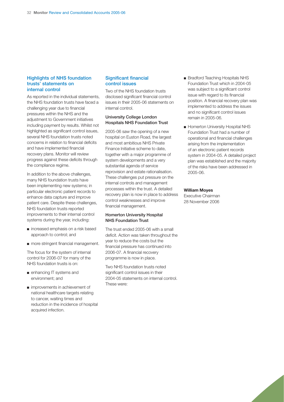#### **Highlights of NHS foundation trusts' statements on internal control**

As reported in the individual statements, the NHS foundation trusts have faced a challenging year due to financial pressures within the NHS and the adjustment to Government initiatives including payment by results. Whilst not highlighted as significant control issues, several NHS foundation trusts noted concerns in relation to financial deficits and have implemented financial recovery plans. Monitor will review progress against these deficits through the compliance regime.

In addition to the above challenges, many NHS foundation trusts have been implementing new systems; in particular electronic patient records to enhance data capture and improve patient care. Despite these challenges, NHS foundation trusts reported improvements to their internal control systems during the year, including:

- increased emphasis on a risk based approach to control; and
- more stringent financial management.

The focus for the system of internal control for 2006-07 for many of the NHS foundation trusts is on:

- enhancing IT systems and environment; and
- improvements in achievement of national healthcare targets relating to cancer, waiting times and reduction in the incidence of hospital acquired infection.

#### **Significant financial control issues**

Two of the NHS foundation trusts disclosed significant financial control issues in their 2005-06 statements on internal control.

#### **University College London Hospitals NHS Foundation Trust**

2005-06 saw the opening of a new hospital on Euston Road, the largest and most ambitious NHS Private Finance Initiative scheme to date, together with a major programme of system developments and a very substantial agenda of service reprovision and estate rationalisation. These challenges put pressure on the internal controls and management processes within the trust. A detailed recovery plan is now in place to address control weaknesses and improve financial management.

#### **Homerton University Hospital NHS Foundation Trust**

The trust ended 2005-06 with a small deficit. Action was taken throughout the year to reduce the costs but the financial pressure has continued into 2006-07. A financial recovery programme is now in place.

Two NHS foundation trusts noted significant control issues in their 2004-05 statements on internal control. These were:

- Bradford Teaching Hospitals NHS Foundation Trust which in 2004-05 was subject to a significant control issue with regard to its financial position. A financial recovery plan was implemented to address the issues and no significant control issues remain in 2005-06.
- Homerton University Hospital NHS Foundation Trust had a number of operational and financial challenges arising from the implementation of an electronic patient records system in 2004-05. A detailed project plan was established and the majority of the risks have been addressed in 2005-06.

#### **William Moyes**

Executive Chairman 28 November 2006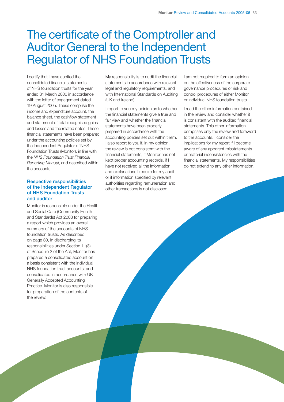# The certificate of the Comptroller and Auditor General to the Independent Regulator of NHS Foundation Trusts

I certify that I have audited the consolidated financial statements of NHS foundation trusts for the year ended 31 March 2006 in accordance with the letter of engagement dated 19 August 2005. These comprise the income and expenditure account, the balance sheet, the cashflow statement and statement of total recognised gains and losses and the related notes. These financial statements have been prepared under the accounting policies set by the Independent Regulator of NHS Foundation Trusts (Monitor), in line with the *NHS Foundation Trust Financial Reporting Manual*, and described within the accounts.

#### **Respective responsibilities of the Independent Regulator of NHS Foundation Trusts and auditor**

Monitor is responsible under the Health and Social Care (Community Health and Standards) Act 2003 for preparing a report which provides an overall summary of the accounts of NHS foundation trusts. As described on page 30, in discharging its responsibilities under Section 11(3) of Schedule 2 of the Act, Monitor has prepared a consolidated account on a basis consistent with the individual NHS foundation trust accounts, and consolidated in accordance with UK Generally Accepted Accounting Practice. Monitor is also responsible for preparation of the contents of the review.

My responsibility is to audit the financial statements in accordance with relevant legal and regulatory requirements, and with International Standards on Auditing (UK and Ireland).

I report to you my opinion as to whether the financial statements give a true and fair view and whether the financial statements have been properly prepared in accordance with the accounting policies set out within them. I also report to you if, in my opinion, the review is not consistent with the financial statements, if Monitor has not kept proper accounting records, if I have not received all the information and explanations I require for my audit, or if information specified by relevant authorities regarding remuneration and other transactions is not disclosed.

I am not required to form an opinion on the effectiveness of the corporate governance procedures or risk and control procedures of either Monitor or individual NHS foundation trusts.

I read the other information contained in the review and consider whether it is consistent with the audited financial statements. This other information comprises only the review and foreword to the accounts. I consider the implications for my report if I become aware of any apparent misstatements or material inconsistencies with the financial statements. My responsibilities do not extend to any other information.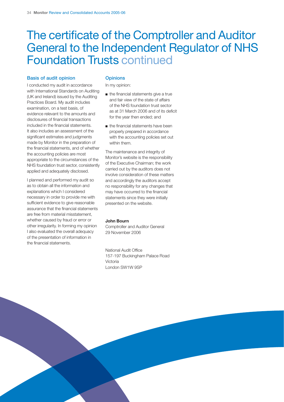# The certificate of the Comptroller and Auditor General to the Independent Regulator of NHS Foundation Trusts continued

#### **Basis of audit opinion**

I conducted my audit in accordance with International Standards on Auditing (UK and Ireland) issued by the Auditing Practices Board. My audit includes examination, on a test basis, of evidence relevant to the amounts and disclosures of financial transactions included in the financial statements. It also includes an assessment of the significant estimates and judgments made by Monitor in the preparation of the financial statements, and of whether the accounting policies are most appropriate to the circumstances of the NHS foundation trust sector, consistently applied and adequately disclosed.

I planned and performed my audit so as to obtain all the information and explanations which I considered necessary in order to provide me with sufficient evidence to give reasonable assurance that the financial statements are free from material misstatement, whether caused by fraud or error or other irregularity. In forming my opinion I also evaluated the overall adequacy of the presentation of information in the financial statements.

#### **Opinions**

In my opinion:

- the financial statements give a true and fair view of the state of affairs of the NHS foundation trust sector as at 31 March 2006 and of its deficit for the year then ended; and
- the financial statements have been properly prepared in accordance with the accounting policies set out within them.

The maintenance and integrity of Monitor's website is the responsibility of the Executive Chairman; the work carried out by the auditors does not involve consideration of these matters and accordingly the auditors accept no responsibility for any changes that may have occurred to the financial statements since they were initially presented on the website.

#### **John Bourn**

Comptroller and Auditor General 29 November 2006

National Audit Office 157-197 Buckingham Palace Road Victoria London SW1W 9SP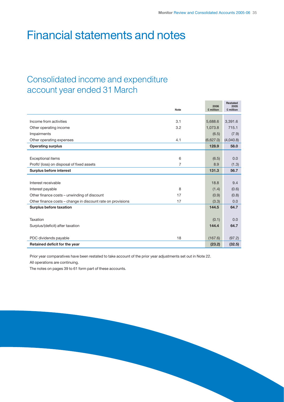# Financial statements and notes

## Consolidated income and expenditure account year ended 31 March

|                                                             | Note | 2006<br>£ million | <b>Restated</b><br>2005<br>£ million |
|-------------------------------------------------------------|------|-------------------|--------------------------------------|
|                                                             |      |                   |                                      |
| Income from activities                                      | 3.1  | 5,688.6           | 3,391.6                              |
| Other operating income                                      | 3.2  | 1,073.8           | 715.1                                |
| Impairments                                                 |      | (6.5)             | (7.9)                                |
| Other operating expenses                                    | 4.1  | (6,627.0)         | (4,040.8)                            |
| <b>Operating surplus</b>                                    |      | 128.9             | 58.0                                 |
|                                                             |      |                   |                                      |
| <b>Exceptional items</b>                                    | 6    | (6.5)             | 0.0                                  |
| Profit/ (loss) on disposal of fixed assets                  | 7    | 8.9               | (1.3)                                |
| Surplus before interest                                     |      | 131.3             | 56.7                                 |
|                                                             |      |                   |                                      |
| Interest receivable                                         |      | 18.8              | 9.4                                  |
| Interest payable                                            | 8    | (1.4)             | (0.6)                                |
| Other finance costs - unwinding of discount                 | 17   | (0.9)             | (0.8)                                |
| Other finance costs - change in discount rate on provisions | 17   | (3.3)             | 0.0                                  |
| Surplus before taxation                                     |      | 144.5             | 64.7                                 |
|                                                             |      |                   |                                      |
| Taxation                                                    |      | (0.1)             | 0.0                                  |
| Surplus/(deficit) after taxation                            |      | 144.4             | 64.7                                 |
|                                                             |      |                   |                                      |
| PDC dividends payable                                       | 18   | (167.6)           | (97.2)                               |
| Retained deficit for the year                               |      | (23.2)            | (32.5)                               |

Prior year comparatives have been restated to take account of the prior year adjustments set out in Note 22.

All operations are continuing.

The notes on pages 39 to 61 form part of these accounts.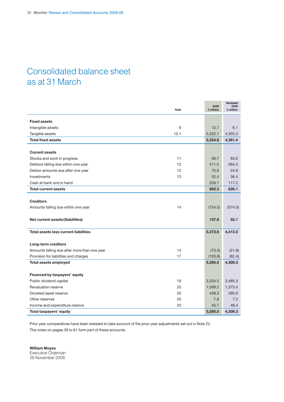## Consolidated balance sheet as at 31 March

|                                              | <b>Note</b> | 2006<br>£ million | Restated<br>2005<br>£ million |
|----------------------------------------------|-------------|-------------------|-------------------------------|
|                                              |             |                   |                               |
| <b>Fixed assets</b>                          |             |                   |                               |
| Intangible assets                            | 9           | 12.7              | 6.1                           |
| Tangible assets                              | 10.1        | 5,322.1           | 4,355.3                       |
| <b>Total fixed assets</b>                    |             | 5,334.8           | 4,361.4                       |
|                                              |             |                   |                               |
| <b>Current assets</b>                        |             |                   |                               |
| Stocks and work in progress                  | 11          | 98.7              | 83.6                          |
| Debtors falling due within one year          | 12          | 411.5             | 364.3                         |
| Debtor amounts due after one year            | 12          | 70.6              | 24.6                          |
| Investments                                  | 13          | 52.4              | 36.4                          |
| Cash at bank and in hand                     |             | 259.1             | 117.2                         |
| <b>Total current assets</b>                  |             | 892.3             | 626.1                         |
|                                              |             |                   |                               |
| <b>Creditors</b>                             |             |                   |                               |
| Amounts falling due within one year          | 14          | (754.5)           | (574.0)                       |
|                                              |             |                   |                               |
| Net current assets/(liabilities)             |             | 137.8             | 52.1                          |
|                                              |             |                   |                               |
| Total assets less current liabilities        |             | 5,472.6           | 4,413.5                       |
|                                              |             |                   |                               |
| Long-term creditors                          |             |                   |                               |
| Amounts falling due after more than one year | 14          | (73.3)            | (21.8)                        |
| Provision for liabilities and charges        | 17          | (103.8)           | (82.4)                        |
| <b>Total assets employed</b>                 |             | 5,295.5           | 4,309.3                       |
|                                              |             |                   |                               |
| Financed by taxpayers' equity                |             |                   |                               |
| Public dividend capital                      | 19          | 3,204.5           | 2,485.3                       |
| Revaluation reserve                          | 20          | 1,599.2           | 1,373.4                       |
| Donated asset reserve                        | 20          | 438.3             | 395.0                         |
| Other reserves                               | 20          | 7.8               | 7.2                           |
| Income and expenditure reserve               | 20          | 45.7              | 48.4                          |
| Total taxpayers' equity                      |             | 5,295.5           | 4,309.3                       |

Prior year comparatives have been restated to take account of the prior year adjustments set out in Note 22. The notes on pages 39 to 61 form part of these accounts.

**William Moyes** Executive Chairman 28 November 2006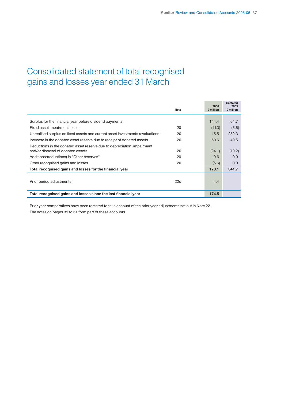## Consolidated statement of total recognised gains and losses year ended 31 March

|                                                                               | Note | 2006<br>£ million | <b>Restated</b><br>2005<br>£ million |
|-------------------------------------------------------------------------------|------|-------------------|--------------------------------------|
|                                                                               |      |                   |                                      |
| Surplus for the financial year before dividend payments                       |      | 144.4             | 64.7                                 |
| Fixed asset impairment losses                                                 | 20   | (11.3)            | (5.6)                                |
| Unrealised surplus on fixed assets and current asset investments revaluations | 20   | 15.5              | 252.3                                |
| Increase in the donated asset reserve due to receipt of donated assets        | 20   | 50.6              | 49.5                                 |
| Reductions in the donated asset reserve due to depreciation, impairment,      |      |                   |                                      |
| and/or disposal of donated assets                                             | 20   | (24.1)            | (19.2)                               |
| Additions/(reductions) in "Other reserves"                                    | 20   | 0.6               | 0.0                                  |
| Other recognised gains and losses                                             | 20   | (5.6)             | 0.0                                  |
| Total recognised gains and losses for the financial year                      |      | 170.1             | 341.7                                |
|                                                                               |      |                   |                                      |
| Prior period adjustments                                                      | 22c  | 4.4               |                                      |
|                                                                               |      |                   |                                      |
| Total recognised gains and losses since the last financial year               |      | 174.5             |                                      |

Prior year comparatives have been restated to take account of the prior year adjustments set out in Note 22. The notes on pages 39 to 61 form part of these accounts.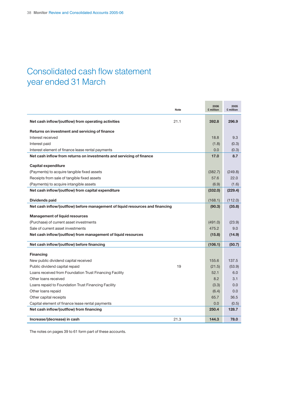## Consolidated cash flow statement year ended 31 March

|                                                                               | <b>Note</b> | 2006<br>£ million | 2005<br>£ million |
|-------------------------------------------------------------------------------|-------------|-------------------|-------------------|
| Net cash inflow/(outflow) from operating activities                           | 21.1        | 392.8             | 296.9             |
| Returns on investment and servicing of finance                                |             |                   |                   |
| Interest received                                                             |             | 18.8              | 9.3               |
| Interest paid                                                                 |             | (1.8)             | (0.3)             |
| Interest element of finance lease rental payments                             |             | 0.0               | (0.3)             |
| Net cash inflow from returns on investments and servicing of finance          |             | 17.0              | 8.7               |
| <b>Capital expenditure</b>                                                    |             |                   |                   |
| (Payments) to acquire tangible fixed assets                                   |             | (382.7)           | (249.8)           |
| Receipts from sale of tangible fixed assets                                   |             | 57.6              | 22.0              |
| (Payments) to acquire intangible assets                                       |             | (6.9)             | (1.6)             |
| Net cash inflow/(outflow) from capital expenditure                            |             | (332.0)           | (229.4)           |
|                                                                               |             |                   |                   |
| Dividends paid                                                                |             | (168.1)           | (112.0)           |
| Net cash inflow/(outflow) before management of liquid resources and financing |             | (90.3)            | (35.8)            |
| <b>Management of liquid resources</b>                                         |             |                   |                   |
| (Purchase) of current asset investments                                       |             | (491.0)           | (23.9)            |
| Sale of current asset investments                                             |             | 475.2             | 9.0               |
| Net cash inflow/(outflow) from management of liquid resources                 |             | (15.8)            | (14.9)            |
|                                                                               |             |                   |                   |
| Net cash inflow/(outflow) before financing                                    |             | (106.1)           | (50.7)            |
| <b>Financing</b>                                                              |             |                   |                   |
| New public dividend capital received                                          |             | 155.6             | 137.5             |
| Public dividend capital repaid                                                | 19          | (21.5)            | (53.9)            |
| Loans received from Foundation Trust Financing Facility                       |             | 52.1              | 6.0               |
| Other loans received                                                          |             | 8.2               | 3.1               |
| Loans repaid to Foundation Trust Financing Facility                           |             | (3.3)             | 0.0               |
| Other loans repaid                                                            |             | (6.4)             | 0.0               |
| Other capital receipts                                                        |             | 65.7              | 36.5              |
| Capital element of finance lease rental payments                              |             | 0.0               | (0.5)             |
| Net cash inflow/(outflow) from financing                                      |             | 250.4             | 128.7             |
| Increase/(decrease) in cash                                                   | 21.3        | 144.3             | 78.0              |

The notes on pages 39 to 61 form part of these accounts.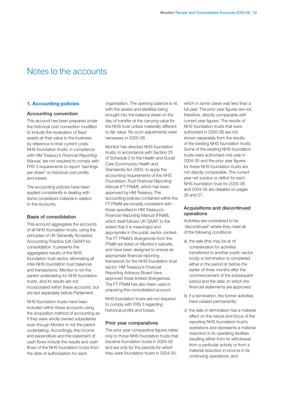## Notes to the accounts

### **1. Accounting policies**

#### **Accounting convention**

This account has been prepared under the historical cost convention modified to include the revaluation of fixed assets at their value to the business by reference to their current costs. NHS foundation trusts, in compliance with HM Treasury's *Financial Reporting Manual*, are not required to comply with FRS 3 requirements to report "earnings per share" or historical cost profits and losses.

The accounting policies have been applied consistently in dealing with items considered material in relation to the accounts.

#### **Basis of consolidation**

This account aggregates the accounts of all NHS foundation trusts, using the principles of UK Generally Accepted Accounting Practice (UK GAAP) for consolidation. It presents the aggregated results of the NHS foundation trust sector, eliminating all inter-NHS foundation trust balances and transactions. Monitor is not the parent undertaking for NHS foundation trusts, and its results are not incorporated within these accounts, but are laid separately before Parliament.

NHS foundation trusts have been included within these accounts using the acquisition method of accounting as if they were wholly owned subsidiaries even though Monitor is not the parent undertaking. Accordingly, the income and expenditure and the statement of cash flows include the results and cash flows of the NHS foundation trusts from the date of authorisation for each

organisation. The opening balance is nil, with the assets and liabilities being brought into the balance sheet on the day of transfer at the carrying value for the NHS trust unless materially different to fair value. No such adjustments were necessary in 2005-06.

Monitor has directed NHS foundation trusts, in accordance with Section 25 of Schedule 2 to the Health and Social Care (Community Health and Standards) Act 2003, to apply the accounting requirements of the *NHS Foundation Trust Financial Reporting Manual* (FT FReM), which has been approved by HM Treasury. The accounting policies contained within the FT FReM are broadly consistent with those specified in HM Treasury's *Financial Reporting Manual* (FReM), which itself follows UK GAAP, to the extent that it is meaningful and appropriate in the public sector context. The FT FReM's divergences from the FReM are listed on Monitor's website, and have been designed to ensure an appropriate financial reporting framework for the NHS foundation trust sector. HM Treasury's Financial Reporting Advisory Board have approved these limited divergences. The FT FReM has also been used in preparing this consolidated account.

NHS foundation trusts are not required to comply with FRS 3 regarding historical profits and losses.

#### **Prior year comparatives**

The prior year comparative figures relate only to those NHS foundation trusts that became foundation trusts in 2004-05 and are only for the periods for which they were foundation trusts in 2004-05,

which in some cases was less than a full year. The prior year figures are not, therefore, directly comparable with current year figures. The results of NHS foundation trusts that were authorised in 2005-06 are not shown separately from the results of the existing NHS foundation trusts. Some of the existing NHS foundation trusts were authorised mid-year in 2004-05 and the prior year figures for these NHS foundation trusts are not directly comparable. The current year net surplus or deficit for each NHS foundation trust for 2005-06 and 2004-05 are detailed on pages 26 and 27.

#### **Acquisitions and discontinued operations**

Activities are considered to be 'discontinued' where they meet all of the following conditions:

- a) the sale (this may be at nil consideration for activities transferred to another public sector body) or termination is completed either in the period or before the earlier of three months after the commencement of the subsequent period and the date on which the financial statements are approved;
- b) if a termination, the former activities have ceased permanently;
- c) the sale or termination has a material effect on the nature and focus of the reporting NHS foundation trust's operations and represents a material reduction in its operating facilities resulting either from its withdrawal from a particular activity or from a material reduction in income in its continuing operations; and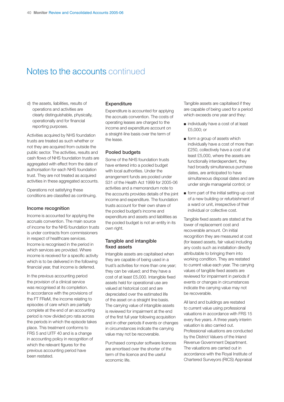## Notes to the accounts continued

d) the assets, liabilities, results of operations and activities are clearly distinguishable, physically, operationally and for financial reporting purposes.

Activities acquired by NHS foundation trusts are treated as such whether or not they are acquired from outside the public sector. The activities, results and cash flows of NHS foundation trusts are aggregated with effect from the date of authorisation for each NHS foundation trust. They are not treated as acquired activities in these aggregated accounts.

Operations not satisfying these conditions are classified as continuing.

#### **Income recognition**

Income is accounted for applying the accruals convention. The main source of income for the NHS foundation trusts is under contracts from commissioners in respect of healthcare services. Income is recognised in the period in which services are provided. Where income is received for a specific activity which is to be delivered in the following financial year, that income is deferred.

In the previous accounting period the provision of a clinical service was recognised at its completion. In accordance with the provisions of the FT FReM, the income relating to episodes of care which are partially complete at the end of an accounting period is now divided pro rata across the periods in which the episode takes place. This treatment conforms to FRS 5 and UITF 40 and is a change in accounting policy in recognition of which the relevant figures for the previous accounting period have been restated.

#### **Expenditure**

Expenditure is accounted for applying the accruals convention. The costs of operating leases are charged to the income and expenditure account on a straight-line basis over the term of the lease.

#### **Pooled budgets**

Some of the NHS foundation trusts have entered into a pooled budget with local authorities. Under the arrangement funds are pooled under S31 of the Health Act 1999 for 2005-06 activities and a memorandum note to the accounts provides details of the joint income and expenditure. The foundation trusts account for their own share of the pooled budget's income and expenditure and assets and liabilities as the pooled budget is not an entity in its own right.

#### **Tangible and intangible fixed assets**

Intangible assets are capitalised when they are capable of being used in a trust's activities for more than one year; they can be valued; and they have a cost of at least £5,000. Intangible fixed assets held for operational use are valued at historical cost and are depreciated over the estimated life of the asset on a straight line basis. The carrying value of intangible assets is reviewed for impairment at the end of the first full year following acquisition and in other periods if events or changes in circumstances indicate the carrying value may not be recoverable.

Purchased computer software licences are amortised over the shorter of the term of the licence and the useful economic life.

Tangible assets are capitalised if they are capable of being used for a period which exceeds one year and they:

- individually have a cost of at least £5,000; or
- form a group of assets which individually have a cost of more than £250, collectively have a cost of at least £5,000, where the assets are functionally interdependent, they had broadly simultaneous purchase dates, are anticipated to have simultaneous disposal dates and are under single managerial control; or
- form part of the initial setting-up cost of a new building or refurbishment of a ward or unit, irrespective of their individual or collective cost.

Tangible fixed assets are stated at the lower of replacement cost and recoverable amount. On initial recognition they are measured at cost (for leased assets, fair value) including any costs such as installation directly attributable to bringing them into working condition. They are restated to current value each year. The carrying values of tangible fixed assets are reviewed for impairment in periods if events or changes in circumstances indicate the carrying value may not be recoverable.

All land and buildings are restated to current value using professional valuations in accordance with FRS 15 every five years. A three yearly interim valuation is also carried out. Professional valuations are conducted by the District Valuers of the Inland Revenue Government Department. The valuations are carried out in accordance with the Royal Institute of Chartered Surveyors (RICS) Appraisal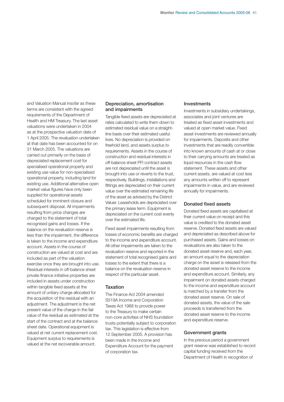and Valuation Manual insofar as these terms are consistent with the agreed requirements of the Department of Health and HM Treasury. The last asset valuations were undertaken in 2004 as at the prospective valuation date of 1 April 2005. The revaluation undertaken at that date has been accounted for on 31 March 2005. The valuations are carried out primarily on the basis of depreciated replacement cost for specialised operational property and existing use value for non-specialised operational property, including land for existing use. Additional alternative open market value figures have only been supplied for operational assets scheduled for imminent closure and subsequent disposal. All impairments resulting from price changes are charged to the statement of total recognised gains and losses. If the balance on the revaluation reserve is less than the impairment, the difference is taken to the income and expenditure account. Assets in the course of construction are valued at cost and are included as part of the valuation exercise once they are brought into use. Residual interests in off-balance sheet private finance initiative properties are included in assets under construction within tangible fixed assets at the amount of unitary charge allocated for the acquisition of the residual with an adjustment. The adjustment is the net present value of the charge in the fair value of the residual as estimated at the start of the contract and at the balance sheet date. Operational equipment is valued at net current replacement cost. Equipment surplus to requirements is valued at the net recoverable amount.

### **Depreciation, amortisation and impairments**

Tangible fixed assets are depreciated at rates calculated to write them down to estimated residual value on a straightline basis over their estimated useful lives. No depreciation is provided on freehold land, and assets surplus to requirements. Assets in the course of construction and residual interests in off-balance sheet PFI contract assets are not depreciated until the asset is brought into use or reverts to the trust, respectively. Buildings, installations and fittings are depreciated on their current value over the estimated remaining life of the asset as advised by the District Valuer. Leaseholds are depreciated over the primary lease term. Equipment is depreciated on the current cost evenly over the estimated life.

Fixed asset impairments resulting from losses of economic benefits are charged to the income and expenditure account. All other impairments are taken to the revaluation reserve and reported in the statement of total recognised gains and losses to the extent that there is a balance on the revaluation reserve in respect of the particular asset.

#### **Taxation**

The Finance Act 2004 amended S519A Income and Corporation Taxes Act 1988 to provide power to the Treasury to make certain non-core activities of NHS foundation trusts potentially subject to corporation tax. This legislation is effective from 12 September 2005. A provision has been made in the Income and Expenditure Account for the payment of corporation tax.

#### **Investments**

Investments in subsidiary undertakings, associates and joint ventures are treated as fixed asset investments and valued at open market value. Fixed asset investments are reviewed annually for impairments. Deposits and other investments that are readily convertible into known amounts of cash at or close to their carrying amounts are treated as liquid resources in the cash flow statement. These assets and other current assets, are valued at cost less any amounts written off to represent impairments in value, and are reviewed annually for impairments.

#### **Donated fixed assets**

Donated fixed assets are capitalised at their current value on receipt and this value is credited to the donated asset reserve. Donated fixed assets are valued and depreciated as described above for purchased assets. Gains and losses on revaluations are also taken to the donated asset reserve and, each year, an amount equal to the depreciation charge on the asset is released from the donated asset reserve to the income and expenditure account. Similarly, any impairment on donated assets charged to the income and expenditure account is matched by a transfer from the donated asset reserve. On sale of donated assets, the value of the sale proceeds is transferred from the donated asset reserve to the income and expenditure reserve.

#### **Government grants**

In the previous period a government grant reserve was established to record capital funding received from the Department of Health in recognition of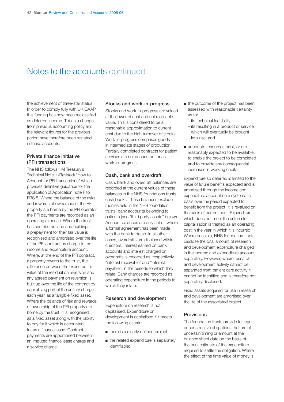## Notes to the accounts continued

the achievement of three-star status. In order to comply fully with UK GAAP this funding has now been reclassified as deferred income. This is a change from previous accounting policy and the relevant figures for the previous period have therefore been restated in these accounts.

#### **Private finance initiative (PFI) transactions**

The NHS follows HM Treasury's Technical Note 1 (Revised) "How to Account for PFI transactions" which provides definitive guidance for the application of Application note F to FRS 5. Where the balance of the risks and rewards of ownership of the PFI property are borne by the PFI operator, the PFI payments are recorded as an operating expense. Where the trust has contributed land and buildings, a prepayment for their fair value is recognised and amortised over the life of the PFI contract by charge to the income and expenditure account. Where, at the end of the PFI contract, a property reverts to the trust, the difference between the expected fair value of the residual on reversion and any agreed payment on reversion is built up over the life of the contract by capitalising part of the unitary charge each year, as a tangible fixed asset. Where the balance of risk and rewards of ownership of the PFI property are borne by the trust, it is recognised as a fixed asset along with the liability to pay for it which is accounted for as a finance lease. Contract payments are apportioned between an imputed finance lease charge and a service charge.

#### **Stocks and work-in-progress**

Stocks and work-in-progress are valued at the lower of cost and net realisable value. This is considered to be a reasonable approximation to current cost due to the high turnover of stocks. Work-in-progress comprises goods in intermediate stages of production. Partially completed contracts for patient services are not accounted for as work-in-progress.

#### **Cash, bank and overdraft**

Cash, bank and overdraft balances are recorded at the current values of these balances in the NHS foundations trusts' cash books. These balances exclude monies held in the NHS foundation trusts' bank accounts belonging to patients (see "third party assets" below). Account balances are only set off where a formal agreement has been made with the bank to do so. In all other cases, overdrafts are disclosed within creditors. Interest earned on bank accounts and interest charged on overdrafts is recorded as, respectively, "interest receivable" and "interest payable", in the periods to which they relate. Bank charges are recorded as operating expenditure in the periods to which they relate.

#### **Research and development**

Expenditure on research is not capitalised. Expenditure on development is capitalised if it meets the following criteria:

- there is a clearly defined project;
- the related expenditure is separately identifiable;
- the outcome of the project has been assessed with reasonable certainty as to:
	- its technical feasibility;
	- its resulting in a product or service which will eventually be brought into use; and
- adequate resources exist, or are reasonably expected to be available, to enable the project to be completed and to provide any consequential increases in working capital.

Expenditure so deferred is limited to the value of future benefits expected and is amortised through the income and expenditure account on a systematic basis over the period expected to benefit from the project. It is revalued on the basis of current cost. Expenditure which does not meet the criteria for capitalisation is treated as an operating cost in the year in which it is incurred. Where possible, NHS foundation trusts disclose the total amount of research and development expenditure charged in the income and expenditure account separately. However, where research and development activity cannot be separated from patient care activity it cannot be identified and is therefore not separately disclosed.

Fixed assets acquired for use in research and development are amortised over the life of the associated project.

#### **Provisions**

The foundation trusts provide for legal or constructive obligations that are of uncertain timing or amount at the balance sheet date on the basis of the best estimate of the expenditure required to settle the obligation. Where the effect of the time value of money is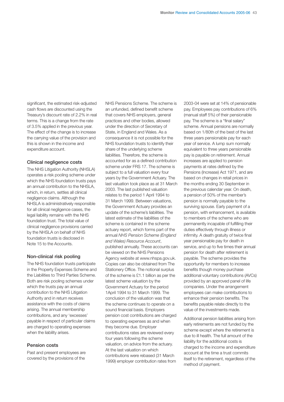significant, the estimated risk-adjusted cash flows are discounted using the Treasury's discount rate of 2.2% in real terms. This is a change from the rate of 3.5% applied in the previous year. The effect of the change is to increase the carrying value of the provision and this is shown in the income and expenditure account.

#### **Clinical negligence costs**

The NHS Litigation Authority (NHSLA) operates a risk pooling scheme under which the NHS foundation trusts pays an annual contribution to the NHSLA, which, in return, settles all clinical negligence claims. Although the NHSLA is administratively responsible for all clinical negligence cases, the legal liability remains with the NHS foundation trust. The total value of clinical negligence provisions carried by the NHSLA on behalf of NHS foundation trusts is disclosed in Note 15 to the Accounts.

#### **Non-clinical risk pooling**

The NHS foundation trusts participate in the Property Expenses Scheme and the Liabilities to Third Parties Scheme. Both are risk pooling schemes under which the trusts pay an annual contribution to the NHS Litigation Authority and in return receives assistance with the costs of claims arising. The annual membership contributions, and any 'excesses' payable in respect of particular claims are charged to operating expenses when the liability arises.

#### **Pension costs**

Past and present employees are covered by the provisions of the

NHS Pensions Scheme. The scheme is an unfunded, defined benefit scheme that covers NHS employers, general practices and other bodies, allowed under the direction of Secretary of State, in England and Wales. As a consequence it is not possible for the NHS foundation trusts to identify their share of the underlying scheme liabilities. Therefore, the scheme is accounted for as a defined contribution scheme under FRS 17. The scheme is subject to a full valuation every four years by the Government Actuary. The last valuation took place as at 31 March 2003. The last published valuation relates to the period 1 April 1994 to 31 March 1999. Between valuations, the Government Actuary provides an update of the scheme's liabilities. The latest estimate of the liabilities of the scheme is contained in the scheme actuary report, which forms part of the annual *NHS Pension Scheme (England and Wales) Resource Account*, published annually. These accounts can be viewed on the NHS Pensions Agency website at www.nhspa.gov.uk. Copies can also be obtained from The Stationery Office. The notional surplus of the scheme is £1.1 billion as per the latest scheme valuation by the Government Actuary for the period 1April 1994 to 31 March 1999. The conclusion of the valuation was that the scheme continues to operate on a sound financial basis. Employers pension cost contributions are charged to operating expenses as and when they become due. Employer contributions rates are reviewed every four years following the scheme valuation, on advice from the actuary. At the last valuation on which contributions were rebased (31 March 1999) employer contribution rates from

2003-04 were set at 14% of pensionable pay. Employees pay contributions of 6% (manual staff 5%) of their pensionable pay. The scheme is a "final salary" scheme. Annual pensions are normally based on 1/80th of the best of the last three years pensionable pay for each year of service. A lump sum normally equivalent to three years pensionable pay is payable on retirement. Annual increases are applied to pension payments at rates defined by the Pensions (Increase) Act 1971, and are based on changes in retail prices in the months ending 30 September in the previous calendar year. On death, a pension of 50% of the member's pension is normally payable to the surviving spouse. Early payment of a pension, with enhancement, is available to members of the scheme who are permanently incapable of fulfilling their duties effectively through illness or infirmity. A death gratuity of twice final year pensionable pay for death in service, and up to five times their annual pension for death after retirement is payable. The scheme provides the opportunity for members to increase benefits though money purchase additional voluntary contributions (AVCs) provided by an approved panel of life companies. Under the arrangement employees can make contributions to enhance their pension benefits. The benefits payable relate directly to the value of the investments made.

Additional pension liabilities arising from early retirements are not funded by the scheme except where the retirement is due to ill health. The full amount of the liability for the additional costs is charged to the income and expenditure account at the time a trust commits itself to the retirement, regardless of the method of payment.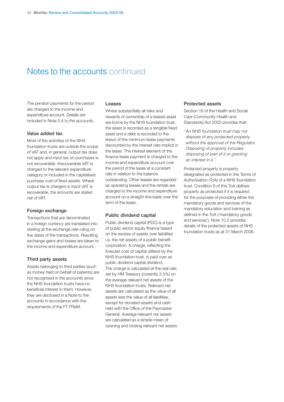## Notes to the accounts continued

The pension payments for the period are charged to the income and expenditure account. Details are included in Note 5.4 to the accounts.

#### **Value added tax**

Most of the activities of the NHS foundation trusts are outside the scope of VAT and, in general, output tax does not apply and input tax on purchases is not recoverable. Irrecoverable VAT is charged to the relevant expenditure category or included in the capitalised purchase cost of fixed assets. Where output tax is charged or input VAT is recoverable, the amounts are stated net of VAT.

#### **Foreign exchange**

Transactions that are denominated in a foreign currency are translated into sterling at the exchange rate ruling on the dates of the transactions. Resulting exchange gains and losses are taken to the income and expenditure account.

#### **Third party assets**

Assets belonging to third parties (such as money held on behalf of patients) are not recognised in the accounts since the NHS foundation trusts have no beneficial interest in them. However, they are disclosed in a Note to the accounts in accordance with the requirements of the FT FReM.

#### **Leases**

Where substantially all risks and rewards of ownership of a leased asset are borne by the NHS foundation trust, the asset is recorded as a tangible fixed asset and a debt is recorded to the lessor of the minimum lease payments discounted by the interest rate implicit in the lease. The interest element of the finance lease payment is charged to the income and expenditure account over the period of the lease at a constant rate in relation to the balance outstanding. Other leases are regarded as operating leases and the rentals are charged to the income and expenditure account on a straight-line basis over the term of the lease.

#### **Public dividend capital**

Public dividend capital (PDC) is a type of public sector equity finance based on the excess of assets over liabilities i.e. the net assets of a public benefit corporation. A charge, reflecting the forecast cost of capital utilised by the NHS foundation trust, is paid over as public dividend capital dividend. The charge is calculated at the real rate set by HM Treasury (currently 3.5%) on the average relevant net assets of the NHS foundation trusts. Relevant net assets are calculated as the value of all assets less the value of all liabilities, except for donated assets and cash held with the Office of the Paymaster General. Average relevant net assets are calculated as a simple mean of opening and closing relevant net assets.

#### **Protected assets**

Section 16 of the Health and Social Care (Community Health and Standards) Act 2003 provides that:

"An NHS foundation trust may not dispose of any protected property without the approval of the Regulator. Disposing of property includes disposing of part of it or granting an interest in it."

Protected property is property designated as protected in the Terms of Authorisation (ToA) of a NHS foundation trust. Condition 9 of this ToA defines property as protected if it is required for the purposes of providing either the mandatory goods and services of the mandatory education and training as defined in the ToA ('mandatory goods and services'). Note 10.2 provides details of the protected assets of NHS foundation trusts as at 31 March 2006.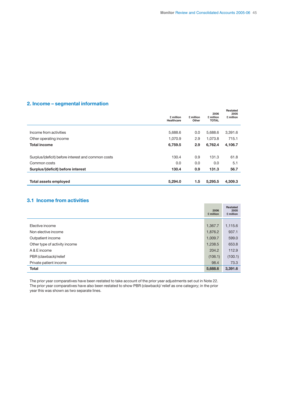### **2. Income – segmental information**

|                                                    | £ million<br>Healthcare | £ million<br>Other | 2006<br>£ million<br><b>TOTAL</b> | <b>Restated</b><br>2005<br>£ million |
|----------------------------------------------------|-------------------------|--------------------|-----------------------------------|--------------------------------------|
| Income from activities                             | 5,688.6                 | 0.0                | 5,688.6                           | 3,391.6                              |
| Other operating income                             | 1.070.9                 | 2.9                | 1.073.8                           | 715.1                                |
| <b>Total income</b>                                | 6,759.5                 | 2.9                | 6,762.4                           | 4,106.7                              |
| Surplus/(deficit) before interest and common costs | 130.4                   | 0.9                | 131.3                             | 61.8                                 |
| Common costs                                       | 0.0                     | 0.0                | 0.0                               | 5.1                                  |
| Surplus/(deficit) before interest                  | 130.4                   | 0.9                | 131.3                             | 56.7                                 |
|                                                    |                         |                    |                                   |                                      |
| <b>Total assets employed</b>                       | 5,294.0                 | 1.5                | 5,295.5                           | 4.309.3                              |

### **3.1 Income from activities**

|                               | 2006<br>£ million | Restated<br>2005<br>£ million |
|-------------------------------|-------------------|-------------------------------|
|                               |                   |                               |
| Elective income               | 1,367.7           | 1,115.6                       |
| Non elective income           | 1,876.2           | 937.1                         |
| Outpatient income             | 1,009.7           | 599.0                         |
| Other type of activity income | 1,238.5           | 653.8                         |
| A & E income                  | 204.2             | 112.9                         |
| PBR (clawback)/relief         | (106.1)           | (100.1)                       |
| Private patient income        | 98.4              | 73.3                          |
| <b>Total</b>                  | 5,688.6           | 3,391.6                       |

The prior year comparatives have been restated to take account of the prior year adjustments set out in Note 22. The prior year comparatives have also been restated to show PBR (clawback)/ relief as one category; in the prior year this was shown as two separate lines.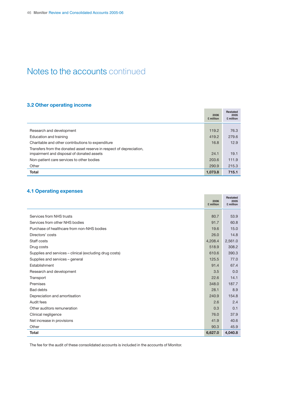## Notes to the accounts continued

### **3.2 Other operating income**

|                                                                                                                   | 2006<br>£ million | <b>Restated</b><br>2005<br>£ million |
|-------------------------------------------------------------------------------------------------------------------|-------------------|--------------------------------------|
|                                                                                                                   |                   |                                      |
| Research and development                                                                                          | 119.2             | 76.3                                 |
| Education and training                                                                                            | 419.2             | 279.6                                |
| Charitable and other contributions to expenditure                                                                 | 16.8              | 12.9                                 |
| Transfers from the donated asset reserve in respect of depreciation,<br>impairment and disposal of donated assets | 24.1              | 19.1                                 |
| Non-patient care services to other bodies                                                                         | 203.6             | 111.9                                |
| Other                                                                                                             | 290.9             | 215.3                                |
| <b>Total</b>                                                                                                      | 1,073.8           | 715.1                                |

÷.

**Contract Contract** 

## **4.1 Operating expenses**

|                                                         | 2006<br>£ million | <b>Restated</b><br>2005<br>£ million |
|---------------------------------------------------------|-------------------|--------------------------------------|
|                                                         |                   |                                      |
| Services from NHS trusts                                | 80.7              | 53.9                                 |
| Services from other NHS bodies                          | 91.7              | 60.8                                 |
| Purchase of healthcare from non-NHS bodies              | 19.6              | 15.0                                 |
| Directors' costs                                        | 26.0              | 14.8                                 |
| Staff costs                                             | 4,208.4           | 2,561.0                              |
| Drug costs                                              | 518.9             | 308.2                                |
| Supplies and services – clinical (excluding drug costs) | 610.6             | 390.3                                |
| Supplies and services - general                         | 125.5             | 77.0                                 |
| Establishment                                           | 91.4              | 67.4                                 |
| Research and development                                | 3.5               | 0.0                                  |
| Transport                                               | 22.6              | 14.1                                 |
| Premises                                                | 348.0             | 187.7                                |
| <b>Bad debts</b>                                        | 28.1              | 8.9                                  |
| Depreciation and amortisation                           | 240.9             | 154.8                                |
| Audit fees                                              | 2.6               | 2.4                                  |
| Other auditors remuneration                             | 0.3               | 0.1                                  |
| Clinical negligence                                     | 76.0              | 37.9                                 |
| Net increase in provisions                              | 41.9              | 40.6                                 |
| Other                                                   | 90.3              | 45.9                                 |
| <b>Total</b>                                            | 6,627.0           | 4,040.8                              |

The fee for the audit of these consolidated accounts is included in the accounts of Monitor.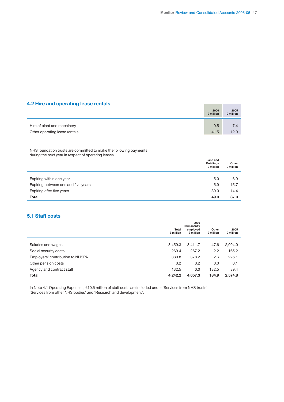## **4.2 Hire and operating lease rentals**

| 4.2 Hire and operating lease rentals | 2006<br>£ million | 2005<br>£ million |
|--------------------------------------|-------------------|-------------------|
| Hire of plant and machinery          | 9.5               | 7.4               |
| Other operating lease rentals        | 41.5              | 12.9              |

NHS foundation trusts are committed to make the following payments during the next year in respect of operating leases

| Land and<br><b>Buildings</b><br>£ million | Other<br>£ million |
|-------------------------------------------|--------------------|
|                                           |                    |
| 5.0                                       | 6.9                |
| 5.9                                       | 15.7               |
| 39.0                                      | 14.4               |
| 49.9                                      | 37.0               |
|                                           |                    |

### **5.1 Staff costs**

|                                  | <b>Total</b><br>£ million | 2006<br>Permanently<br>employed<br>£ million | Other<br>£ million | 2005<br>£ million |
|----------------------------------|---------------------------|----------------------------------------------|--------------------|-------------------|
| Salaries and wages               | 3.459.3                   | 3,411.7                                      | 47.6               | 2,094.0           |
| Social security costs            | 269.4                     | 267.2                                        | 2.2                | 165.2             |
| Employers' contribution to NHSPA | 380.8                     | 378.2                                        | 2.6                | 226.1             |
| Other pension costs              | 0.2                       | 0.2                                          | 0.0                | 0.1               |
| Agency and contract staff        | 132.5                     | 0.0                                          | 132.5              | 89.4              |
| <b>Total</b>                     | 4,242.2                   | 4,057.3                                      | 184.9              | 2,574.8           |

In Note 4.1 Operating Expenses, £10.5 million of staff costs are included under 'Services from NHS trusts', 'Services from other NHS bodies' and 'Research and development'.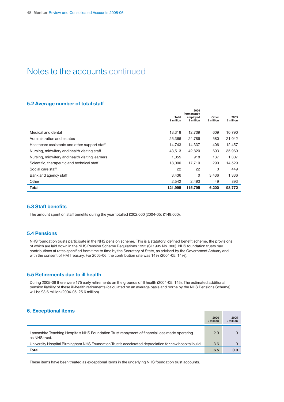## Notes to the accounts continued

#### **5.2 Average number of total staff**

|                                                 | <b>Total</b><br>£ million | 2006<br>Permanently<br>employed<br>£ million | Other<br>£ million | 2005<br>£ million |
|-------------------------------------------------|---------------------------|----------------------------------------------|--------------------|-------------------|
| Medical and dental                              | 13,318                    | 12,709                                       | 609                | 10,790            |
| Administration and estates                      | 25,366                    | 24,786                                       | 580                | 21,042            |
| Healthcare assistants and other support staff   | 14,743                    | 14,337                                       | 406                | 12,457            |
| Nursing, midwifery and health visiting staff    | 43,513                    | 42,820                                       | 693                | 35,969            |
| Nursing, midwifery and health visiting learners | 1.055                     | 918                                          | 137                | 1,307             |
| Scientific, therapeutic and technical staff     | 18,000                    | 17,710                                       | 290                | 14,529            |
| Social care staff                               | 22                        | 22                                           | 0                  | 449               |
| Bank and agency staff                           | 3,436                     | 0                                            | 3.436              | 1,336             |
| Other                                           | 2,542                     | 2.493                                        | 49                 | 893               |
| <b>Total</b>                                    | 121,995                   | 115,795                                      | 6,200              | 98.772            |

#### **5.3 Staff benefits**

The amount spent on staff benefits during the year totalled £202,000 (2004-05: £149,000).

#### **5.4 Pensions**

NHS foundation trusts participate in the NHS pension scheme. This is a statutory, defined benefit scheme, the provisions of which are laid down in the NHS Pension Scheme Regulations 1995 (SI 1995 No. 300). NHS foundation trusts pay contributions at rates specified from time to time by the Secretary of State, as advised by the Government Actuary and with the consent of HM Treasury. For 2005-06, the contribution rate was 14% (2004-05: 14%).

#### **5.5 Retirements due to ill health**

During 2005-06 there were 175 early retirements on the grounds of ill health (2004-05: 145). The estimated additional pension liability of these ill-health retirements (calculated on an average basis and borne by the NHS Pensions Scheme) will be £8.6 million (2004-05: £5.6 million).

## **6. Exceptional items**

|                                                                                                                | 2006<br>£ million | 2005<br>£ million |
|----------------------------------------------------------------------------------------------------------------|-------------------|-------------------|
| Lancashire Teaching Hospitals NHS Foundation Trust repayment of financial loss made operating<br>as NHS trust. | 2.9               |                   |
| University Hospital Birmingham NHS Foundation Trust's accelerated depreciation for new hospital build.         | 3.6               |                   |
| Total                                                                                                          | 6.5               | 0.0               |

**Contract Contract Contract** 

These items have been treated as exceptional items in the underlying NHS foundation trust accounts.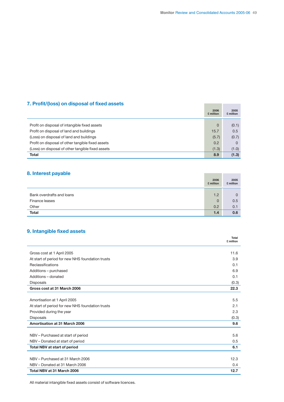**The Community** 

## **7. Profit/(loss) on disposal of fixed assets**

|                                                   | 2006<br>£ million | 2005<br>£ million |
|---------------------------------------------------|-------------------|-------------------|
|                                                   |                   |                   |
| Profit on disposal of intangible fixed assets     | $\Omega$          | (0.1)             |
| Profit on disposal of land and buildings          | 15.7              | 0.5               |
| (Loss) on disposal of land and buildings          | (5.7)             | (0.7)             |
| Profit on disposal of other tangible fixed assets | 0.2               | 0                 |
| (Loss) on disposal of other tangible fixed assets | (1.3)             | (1.0)             |
| Total                                             | 8.9               | (1.3)             |

## **8. Interest payable**

| 8. Interest payable       | 2006<br>£ million | 2005<br>£ million |
|---------------------------|-------------------|-------------------|
|                           |                   |                   |
| Bank overdrafts and loans | 1.2               | $\mathbf{0}$      |
| Finance leases            | $\Omega$          | 0.5               |
| Other                     | 0.2               | 0.1               |
| <b>Total</b>              | 1.4               | 0.6               |

## **9. Intangible fixed assets**

|                                                  | Total<br>£ million |
|--------------------------------------------------|--------------------|
| Gross cost at 1 April 2005                       | 11.6               |
| At start of period for new NHS foundation trusts | 3.9                |
| Reclassifications                                | 0.1                |
|                                                  |                    |
| Additions - purchased                            | 6.9                |
| Additions - donated                              | 0.1                |
| <b>Disposals</b>                                 | (0.3)              |
| Gross cost at 31 March 2006                      | 22.3               |
|                                                  |                    |
| Amortisation at 1 April 2005                     | 5.5                |
| At start of period for new NHS foundation trusts | 2.1                |
| Provided during the year                         | 2.3                |
| <b>Disposals</b>                                 | (0.3)              |
| Amortisation at 31 March 2006                    | 9.6                |
|                                                  |                    |
| NBV - Purchased at start of period               | 5.6                |
| NBV - Donated at start of period                 | 0.5                |
| Total NBV at start of period                     | 6.1                |
|                                                  |                    |
| NBV - Purchased at 31 March 2006                 | 12.3               |
| NBV - Donated at 31 March 2006                   | 0.4                |
| Total NBV at 31 March 2006                       | 12.7               |

All material intangible fixed assets consist of software licences.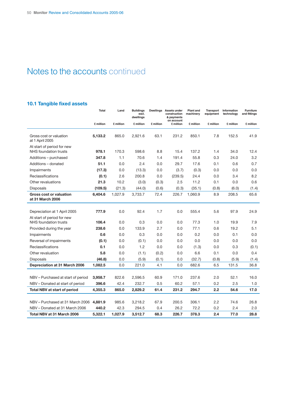## Notes to the accounts continued

## **10.1 Tangible fixed assets**

|                                                     | <b>Total</b> | Land      | <b>Buildings</b><br>excl.<br>dwellings |           | Dwellings Assets under<br>construction<br>& payments | <b>Plant</b> and<br>machinery | <b>Transport</b><br>equipment | Information<br>technology | <b>Furniture</b><br>and fittings |
|-----------------------------------------------------|--------------|-----------|----------------------------------------|-----------|------------------------------------------------------|-------------------------------|-------------------------------|---------------------------|----------------------------------|
|                                                     | £ million    | £ million | £ million                              | £ million | on account<br>£ million                              | £ million                     | £ million                     | £ million                 | £ million                        |
| Gross cost or valuation<br>at 1 April 2005          | 5,133.2      | 865.0     | 2,921.6                                | 63.1      | 231.2                                                | 850.1                         | 7.8                           | 152.5                     | 41.9                             |
| At start of period for new<br>NHS foundation trusts | 978.1        | 170.3     | 598.6                                  | 8.8       | 15.4                                                 | 137.2                         | 1.4                           | 34.0                      | 12.4                             |
| Additions – purchased                               | 347.8        | 1.1       | 70.6                                   | 1.4       | 191.4                                                | 55.8                          | 0.3                           | 24.0                      | 3.2                              |
| Additions - donated                                 | 51.1         | 0.0       | 2.4                                    | 0.0       | 29.7                                                 | 17.6                          | 0.1                           | 0.6                       | 0.7                              |
| Impairments                                         | (17.3)       | 0.0       | (13.3)                                 | 0.0       | (3.7)                                                | (0.3)                         | 0.0                           | 0.0                       | 0.0                              |
| Reclassifications                                   | (0.1)        | 2.6       | 200.8                                  | 0.0       | (239.5)                                              | 24.4                          | 0.0                           | 3.4                       | 8.2                              |
| Other revaluations                                  | 21.3         | 10.2      | (3.0)                                  | (0.3)     | 2.5                                                  | 11.2                          | 0.1                           | 0.0                       | 0.6                              |
| <b>Disposals</b>                                    | (109.5)      | (21.3)    | (44.0)                                 | (0.6)     | (0.3)                                                | (35.1)                        | (0.8)                         | (6.0)                     | (1.4)                            |
| <b>Gross cost or valuation</b><br>at 31 March 2006  | 6,404.6      | 1,027.9   | 3,733.7                                | 72.4      | 226.7                                                | 1,060.9                       | 8.9                           | 208.5                     | 65.6                             |
|                                                     |              |           |                                        |           |                                                      |                               |                               |                           |                                  |
| Depreciation at 1 April 2005                        | 777.9        | 0.0       | 92.4                                   | 1.7       | 0.0                                                  | 555.4                         | 5.6                           | 97.9                      | 24.9                             |
| At start of period for new                          |              |           |                                        |           |                                                      |                               |                               |                           |                                  |
| NHS foundation trusts                               | 106.4        | 0.0       | 0.3                                    | 0.0       | 0.0                                                  | 77.3                          | 1.0                           | 19.9                      | 7.9                              |
| Provided during the year                            | 238.6        | 0.0       | 133.9                                  | 2.7       | 0.0                                                  | 77.1                          | 0.6                           | 19.2                      | 5.1                              |
| Impairments                                         | 0.6          | 0.0       | 0.3                                    | 0.0       | 0.0                                                  | 0.2                           | 0.0                           | 0.1                       | 0.0                              |
| Reversal of impairments                             | (0.1)        | 0.0       | (0.1)                                  | 0.0       | 0.0                                                  | 0.0                           | 0.0                           | 0.0                       | 0.0                              |
| Reclassifications                                   | 0.1          | 0.0       | 1.2                                    | 0.0       | 0.0                                                  | (1.3)                         | 0.0                           | 0.3                       | (0.1)                            |
| Other revaluation                                   | 5.8          | 0.0       | (1.1)                                  | (0.2)     | 0.0                                                  | 6.6                           | 0.1                           | 0.0                       | 0.4                              |
| <b>Disposals</b>                                    | (46.8)       | 0.0       | (5.9)                                  | (0.1)     | 0.0                                                  | (32.7)                        | (0.8)                         | (5.9)                     | (1.4)                            |
| Depreciation at 31 March 2006                       | 1,082.5      | 0.0       | 221.0                                  | 4.1       | 0.0                                                  | 682.6                         | 6.5                           | 131.5                     | 36.8                             |
|                                                     |              |           |                                        |           |                                                      |                               |                               |                           |                                  |
| NBV - Purchased at start of period                  | 3,958.7      | 822.6     | 2,596.5                                | 60.9      | 171.0                                                | 237.6                         | 2.0                           | 52.1                      | 16.0                             |
| NBV - Donated at start of period                    | 396.6        | 42.4      | 232.7                                  | 0.5       | 60.2                                                 | 57.1                          | 0.2                           | 2.5                       | 1.0                              |
| <b>Total NBV at start of period</b>                 | 4,355.3      | 865.0     | 2,829.2                                | 61.4      | 231.2                                                | 294.7                         | 2.2                           | 54.6                      | 17.0                             |
|                                                     |              |           |                                        |           |                                                      |                               |                               |                           |                                  |
| NBV - Purchased at 31 March 2006                    | 4,881.9      | 985.6     | 3,218.2                                | 67.9      | 200.5                                                | 306.1                         | 2.2                           | 74.6                      | 26.8                             |
| NBV - Donated at 31 March 2006                      | 440.2        | 42.3      | 294.5                                  | 0.4       | 26.2                                                 | 72.2                          | 0.2                           | 2.4                       | 2.0                              |
| Total NBV at 31 March 2006                          | 5,322.1      | 1,027.9   | 3,512.7                                | 68.3      | 226.7                                                | 378.3                         | 2.4                           | 77.0                      | 28.8                             |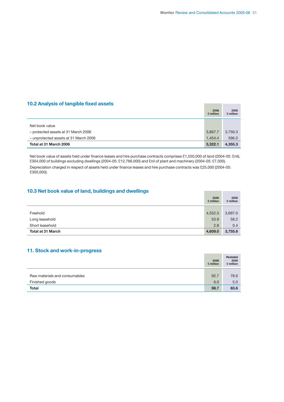**Contract Contract Contract** 

**Contract Contract** 

### **10.2 Analysis of tangible fixed assets**

|                                       | 2006<br>£ million | 2005<br>£ million |
|---------------------------------------|-------------------|-------------------|
| Net book value                        |                   |                   |
|                                       |                   |                   |
| - protected assets at 31 March 2006   | 3,867.7           | 3,759.3           |
| - unprotected assets at 31 March 2006 | 1.454.4           | 596.0             |
| Total at 31 March 2006                | 5,322.1           | 4,355.3           |

Net book value of assets held under finance leases and hire purchase contracts comprises £1,550,000 of land (2004-05: £nil), £304,000 of buildings excluding dwellings (2004-05: £12,766,000) and £nil of plant and machinery (2004-05: £7,000). Depreciation charged in respect of assets held under finance leases and hire purchase contracts was £25,000 (2004-05: £300,000).

### **10.3 Net book value of land, buildings and dwellings**

|                          | 2006<br>£ million | 2005<br>£ million |
|--------------------------|-------------------|-------------------|
|                          |                   |                   |
| Freehold                 | 4,552.3           | 3,697.0           |
| Long leasehold           | 53.9              | 58.2              |
| Short leasehold          | 2.8               | 0.4               |
| <b>Total at 31 March</b> | 4,609.0           | 3,755.6           |

### **11. Stock and work-in-progress**

|                               | 2006<br>£ million | Restated<br>2005<br>£ million |
|-------------------------------|-------------------|-------------------------------|
|                               |                   |                               |
| Raw materials and consumables | 92.7              | 78.6                          |
| Finished goods                | 6.0               | 5.0                           |
| <b>Total</b>                  | 98.7              | 83.6                          |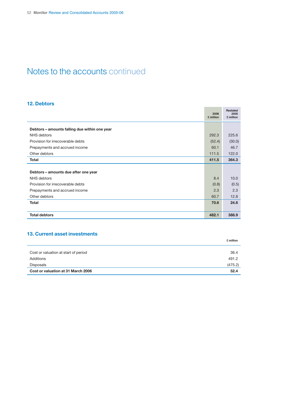## Notes to the accounts continued

### **12. Debtors**

|                                               | 2006<br>£ million | <b>Restated</b><br>2005<br>£ million |
|-----------------------------------------------|-------------------|--------------------------------------|
| Debtors - amounts falling due within one year |                   |                                      |
| NHS debtors                                   | 292.3             | 225.6                                |
| Provision for irrecoverable debts             | (52.4)            | (30.0)                               |
| Prepayments and accrued income                | 60.1              | 46.7                                 |
| Other debtors                                 | 111.5             | 122.0                                |
| <b>Total</b>                                  | 411.5             | 364.3                                |
|                                               |                   |                                      |
| Debtors - amounts due after one year          |                   |                                      |
| NHS debtors                                   | 8.4               | 10.0                                 |
| Provision for irrecoverable debts             | (0.8)             | (0.5)                                |
| Prepayments and accrued income                | 2.3               | 2.3                                  |
| Other debtors                                 | 60.7              | 12.8                                 |
| <b>Total</b>                                  | 70.6              | 24.6                                 |
|                                               |                   |                                      |
| <b>Total debtors</b>                          | 482.1             | 388.9                                |

## **13. Current asset investments**

|                                      | £ million |
|--------------------------------------|-----------|
|                                      |           |
| Cost or valuation at start of period | 36.4      |
| Additions                            | 491.2     |
| Disposals                            | (475.2)   |
| Cost or valuation at 31 March 2006   | 52.4      |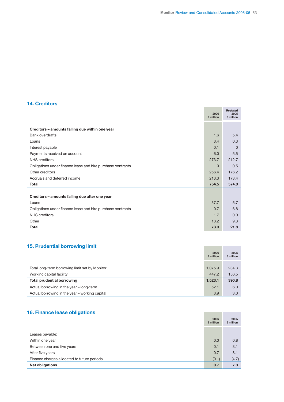## **14. Creditors**

|                                                             | 2006<br>£ million | <b>Restated</b><br>2005<br>£ million |
|-------------------------------------------------------------|-------------------|--------------------------------------|
| Creditors - amounts falling due within one year             |                   |                                      |
| <b>Bank overdrafts</b>                                      | 1.6               | 5.4                                  |
| Loans                                                       | 3.4               | 0.3                                  |
| Interest payable                                            | 0.1               | $\Omega$                             |
| Payments received on account                                | 6.0               | 5.5                                  |
| <b>NHS</b> creditors                                        | 273.7             | 212.7                                |
| Obligations under finance lease and hire purchase contracts | $\Omega$          | 0.5                                  |
| Other creditors                                             | 256.4             | 176.2                                |
| Accruals and deferred income                                | 213.3             | 173.4                                |
| <b>Total</b>                                                | 754.5             | 574.0                                |
| Creditors - amounts falling due after one year              |                   |                                      |
| Loans                                                       | 57.7              | 5.7                                  |
| Obligations under finance lease and hire purchase contracts | 0.7               | 6.8                                  |
| NHS creditors                                               | 1.7               | 0.0                                  |
| Other                                                       | 13.2              | 9.3                                  |
| <b>Total</b>                                                | 73.3              | 21.8                                 |

## **15. Prudential borrowing limit**

| <b>15. Prudential borrowing limit</b>          |                   |                   |
|------------------------------------------------|-------------------|-------------------|
|                                                | 2006<br>£ million | 2005<br>£ million |
|                                                |                   |                   |
| Total long-term borrowing limit set by Monitor | 1,075.9           | 234.3             |
| Working capital facility                       | 447.2             | 156.5             |
| <b>Total prudential borrowing</b>              | 1,523.1           | 390.8             |
| Actual borrowing in the year - long-term       | 52.1              | 6.0               |
| Actual borrowing in the year - working capital | 3.9               | 3.0               |

## **16. Finance lease obligations**

| 16. Finance lease obligations               | 2006<br>£ million | 2005<br>£ million |
|---------------------------------------------|-------------------|-------------------|
| Leases payable:                             |                   |                   |
| Within one year                             | 0.0               | 0.8               |
| Between one and five years                  | 0.1               | 3.1               |
| After five years                            | 0.7               | 8.1               |
| Finance charges allocated to future periods | (0.1)             | (4.7)             |
| Net obligations                             | 0.7               | 7.3               |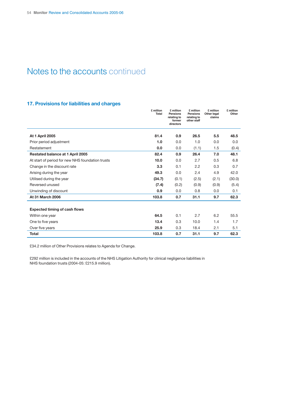## Notes to the accounts continued

### **17. Provisions for liabilities and charges**

|                                                  | £ million<br><b>Total</b> | £ million<br>Pensions<br>relating to<br>former<br>directors | £ million<br><b>Pensions</b><br>relating to<br>other staff | £ million<br>Other legal<br>claims | £ million<br>Other |
|--------------------------------------------------|---------------------------|-------------------------------------------------------------|------------------------------------------------------------|------------------------------------|--------------------|
| <b>At 1 April 2005</b>                           | 81.4                      | 0.9                                                         | 26.5                                                       | 5.5                                | 48.5               |
| Prior period adjustment                          | 1.0                       | 0.0                                                         | 1.0                                                        | 0.0                                | 0.0                |
| Restatement                                      | 0.0                       | 0.0                                                         | (1.1)                                                      | 1.5                                | (0.4)              |
| Restated balance at 1 April 2005                 | 82.4                      | 0.9                                                         | 26.4                                                       | 7.0                                | 48.1               |
| At start of period for new NHS foundation trusts | 10.0                      | 0.0                                                         | 2.7                                                        | 0.5                                | 6.8                |
| Change in the discount rate                      | 3.3                       | 0.1                                                         | 2.2                                                        | 0.3                                | 0.7                |
| Arising during the year                          | 49.3                      | 0.0                                                         | 2.4                                                        | 4.9                                | 42.0               |
| Utilised during the year                         | (34.7)                    | (0.1)                                                       | (2.5)                                                      | (2.1)                              | (30.0)             |
| Reversed unused                                  | (7.4)                     | (0.2)                                                       | (0.9)                                                      | (0.9)                              | (5.4)              |
| Unwinding of discount                            | 0.9                       | 0.0                                                         | 0.8                                                        | 0.0                                | 0.1                |
| <b>At 31 March 2006</b>                          | 103.8                     | 0.7                                                         | 31.1                                                       | 9.7                                | 62.3               |
|                                                  |                           |                                                             |                                                            |                                    |                    |
| <b>Expected timing of cash flows</b>             |                           |                                                             |                                                            |                                    |                    |
| Within one year                                  | 64.5                      | 0.1                                                         | 2.7                                                        | 6.2                                | 55.5               |
| One to five years                                | 13.4                      | 0.3                                                         | 10.0                                                       | 1.4                                | 1.7                |
| Over five years                                  | 25.9                      | 0.3                                                         | 18.4                                                       | 2.1                                | 5.1                |
| <b>Total</b>                                     | 103.8                     | 0.7                                                         | 31.1                                                       | 9.7                                | 62.3               |

£34.2 million of Other Provisions relates to Agenda for Change.

£292 million is included in the accounts of the NHS Litigation Authority for clinical negligence liabilities in NHS foundation trusts (2004-05: £215.9 million).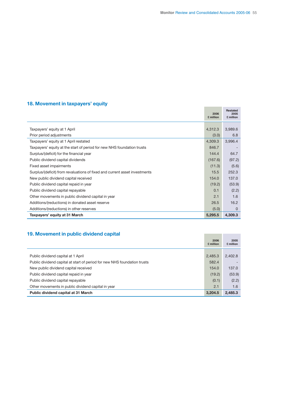## **18. Movement in taxpayers' equity**

|                                                                            | 2006<br>£ million | <b>Restated</b><br>2005<br>£ million |
|----------------------------------------------------------------------------|-------------------|--------------------------------------|
|                                                                            |                   |                                      |
| Taxpayers' equity at 1 April                                               | 4,312.3           | 3,989.6                              |
| Prior period adjustments                                                   | (3.0)             | 6.8                                  |
| Taxpayers' equity at 1 April restated                                      | 4,309.3           | 3,996.4                              |
| Taxpayers' equity at the start of period for new NHS foundation trusts     | 846.7             |                                      |
| Surplus/(deficit) for the financial year                                   | 144.4             | 64.7                                 |
| Public dividend capital dividends                                          | (167.6)           | (97.2)                               |
| Fixed asset impairments                                                    | (11.3)            | (5.6)                                |
| Surplus/(deficit) from revaluations of fixed and current asset investments | 15.5              | 252.3                                |
| New public dividend capital received                                       | 154.0             | 137.0                                |
| Public dividend capital repaid in year                                     | (19.2)            | (53.9)                               |
| Public dividend capital repayable                                          | 0.1               | (2.2)                                |
| Other movements in public dividend capital in year                         | 2.1               | 1.6                                  |
| Additions/(reductions) in donated asset reserve                            | 26.5              | 16.2                                 |
| Additions/(reductions) in other reserves                                   | (5.0)             | 0                                    |
| Taxpayers' equity at 31 March                                              | 5,295.5           | 4,309.3                              |

## **19. Movement in public dividend capital**

| 19. Movement in public dividend capital                                  |                   |                   |
|--------------------------------------------------------------------------|-------------------|-------------------|
|                                                                          | 2006<br>£ million | 2005<br>£ million |
| Public dividend capital at 1 April                                       | 2,485.3           | 2.402.8           |
| Public dividend capital at start of period for new NHS foundation trusts | 582.4             |                   |
| New public dividend capital received                                     | 154.0             | 137.0             |
| Public dividend capital repaid in year                                   | (19.2)            | (53.9)            |
| Public dividend capital repayable                                        | (0.1)             | (2.2)             |
| Other movements in public dividend capital in year                       | 2.1               | 1.6               |
| Public dividend capital at 31 March                                      | 3.204.5           | 2.485.3           |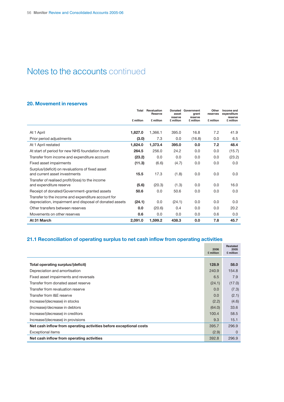## Notes to the accounts continued

### **20. Movement in reserves**

|                                                                                                               | Total     | Revaluation<br><b>Reserve</b> | <b>Donated</b><br>asset | Government<br>grant  | Other<br>reserves | Income and<br>expenditure |
|---------------------------------------------------------------------------------------------------------------|-----------|-------------------------------|-------------------------|----------------------|-------------------|---------------------------|
|                                                                                                               | £ million | £ million                     | reserve<br>£ million    | reserve<br>£ million | £ million         | reserve<br>£ million      |
| At 1 April                                                                                                    | 1,827.0   | 1,366.1                       | 395.0                   | 16.8                 | 7.2               | 41.9                      |
| Prior period adjustments                                                                                      | (3.0)     | 7.3                           | 0.0                     | (16.8)               | 0.0               | 6.5                       |
| At 1 April restated                                                                                           | 1,824.0   | 1,373.4                       | 395.0                   | 0.0                  | 7.2               | 48.4                      |
| At start of period for new NHS foundation trusts                                                              | 264.5     | 256.0                         | 24.2                    | 0.0                  | 0.0               | (15.7)                    |
| Transfer from income and expenditure account                                                                  | (23.2)    | 0.0                           | 0.0                     | 0.0                  | 0.0               | (23.2)                    |
| Fixed asset impairments                                                                                       | (11.3)    | (6.6)                         | (4.7)                   | 0.0                  | 0.0               | 0.0                       |
| Surplus/(deficit) on revaluations of fixed asset<br>and current asset investments                             | 15.5      | 17.3                          | (1.8)                   | 0.0                  | 0.0               | 0.0                       |
| Transfer of realised profit/(loss) to the income<br>and expenditure reserve                                   | (5.6)     | (20.3)                        | (1.3)                   | 0.0                  | 0.0               | 16.0                      |
| Receipt of donated/Government-granted assets                                                                  | 50.6      | 0.0                           | 50.6                    | 0.0                  | 0.0               | 0.0                       |
| Transfer to the income and expenditure account for<br>depreciation, impairment and disposal of donated assets | (24.1)    | 0.0                           | (24.1)                  | 0.0                  | 0.0               | 0.0                       |
| Other transfers between reserves                                                                              | 0.0       | (20.6)                        | 0.4                     | 0.0                  | 0.0               | 20.2                      |
| Movements on other reserves                                                                                   | 0.6       | 0.0                           | 0.0                     | 0.0                  | 0.6               | 0.0                       |
| At 31 March                                                                                                   | 2,091.0   | 1,599.2                       | 438.3                   | 0.0                  | 7.8               | 45.7                      |

## **21.1 Reconciliation of operating surplus to net cash inflow from operating activities**

|                                                                    | 2006<br>£ million | <b>Restated</b><br>2005<br>£ million |
|--------------------------------------------------------------------|-------------------|--------------------------------------|
| Total operating surplus/(deficit)                                  | 128.9             | 58.0                                 |
| Depreciation and amortisation                                      | 240.9             | 154.8                                |
| Fixed asset impairments and reversals                              | 6.5               | 7.9                                  |
| Transfer from donated asset reserve                                | (24.1)            | (17.0)                               |
| Transfer from revaluation reserve                                  | 0.0               | (7.3)                                |
| Transfer from I&E reserve                                          | 0.0               | (2.1)                                |
| Increase/(decrease) in stocks                                      | (2.2)             | (4.6)                                |
| (Increase)/decrease in debtors                                     | (64.0)            | 33.6                                 |
| Increase/(decrease) in creditors                                   | 100.4             | 58.5                                 |
| Increase/(decrease) in provisions                                  | 9.3               | 15.1                                 |
| Net cash inflow from operating activities before exceptional costs | 395.7             | 296.9                                |
| <b>Exceptional items</b>                                           | (2.9)             | $\Omega$                             |
| Net cash inflow from operating activities                          | 392.8             | 296.9                                |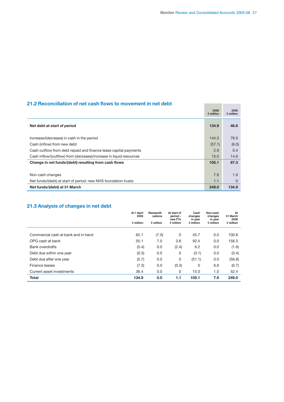## **21.2 Reconciliation of net cash flows to movement in net debt**

| 21.2 Reconciliation of net cash flows to movement in net debt      |                   |                   |
|--------------------------------------------------------------------|-------------------|-------------------|
|                                                                    | 2006<br>£ million | 2005<br>£ million |
| Net debt at start of period                                        | 134.9             | 46.6              |
| Increase/(decrease) in cash in the period                          | 144.3             | 78.0              |
| Cash (inflow) from new debt                                        | (57.1)            | (6.0)             |
| Cash outflow from debt repaid and finance lease capital payments   | 2.9               | 0.4               |
| Cash inflow/(outflow) from (decrease)/increase in liquid resources | 15.0              | 14.9              |
| Change in net funds/(debt) resulting from cash flows               | 105.1             | 87.3              |
|                                                                    |                   |                   |
| Non cash changes                                                   | 7.9               | 1.0               |
| Net funds/(debt) at start of period: new NHS foundation trusts     | 1.1               | $\Omega$          |
| Net funds/(debt) at 31 March                                       | 249.0             | 134.9             |

## **21.3 Analysis of changes in net debt**

|                                     | At 1 April<br>2005 | Reclassifi-<br>cations | At start of<br>period-<br>new FTs | Cash<br>changes<br>in year | Non-cash<br>changes<br>in year | At<br>31 March<br>2006 |
|-------------------------------------|--------------------|------------------------|-----------------------------------|----------------------------|--------------------------------|------------------------|
|                                     | £ million          | £ million              | £ million                         | £ million                  | £ million                      | £ million              |
| Commercial cash at bank and in hand | 62.1               | (7.0)                  | 0                                 | 45.7                       | 0.0                            | 100.8                  |
| OPG cash at bank                    | 55.1               | 7.0                    | 3.8                               | 92.4                       | 0.0                            | 158.3                  |
| <b>Bank overdrafts</b>              | (5.4)              | 0.0                    | (2.4)                             | 6.2                        | 0.0                            | (1.6)                  |
| Debt due within one year            | (0.3)              | 0.0                    | 0                                 | (3.1)                      | 0.0                            | (3.4)                  |
| Debt due after one year             | (5.7)              | 0.0                    | 0                                 | (51.1)                     | 0.0                            | (56.8)                 |
| Finance leases                      | (7.3)              | 0.0                    | (0.3)                             | 0                          | 6.9                            | (0.7)                  |
| Current asset investments           | 36.4               | 0.0                    | 0                                 | 15.0                       | 1.0                            | 52.4                   |
| <b>Total</b>                        | 134.9              | 0.0                    | 1.1                               | 105.1                      | 7.9                            | 249.0                  |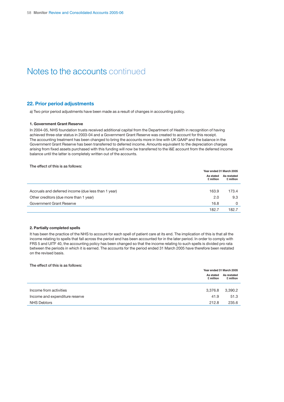## Notes to the accounts continued

#### **22. Prior period adjustments**

a) Two prior period adjustments have been made as a result of changes in accounting policy.

#### **1. Government Grant Reserve**

In 2004-05, NHS foundation trusts received additional capital from the Department of Health in recognition of having achieved three-star status in 2003-04 and a Government Grant Reserve was created to account for this receipt. The accounting treatment has been changed to bring the accounts more in line with UK GAAP and the balance in the Government Grant Reserve has been transferred to deferred income. Amounts equivalent to the depreciation charges arising from fixed assets purchased with this funding will now be transferred to the I&E account from the deferred income balance until the latter is completely written out of the accounts.

#### **The effect of this is as follows:**

|                                                     | Year ended 31 March 2005 |                          |  |
|-----------------------------------------------------|--------------------------|--------------------------|--|
|                                                     | As stated<br>£ million   | As restated<br>£ million |  |
|                                                     |                          |                          |  |
| Accruals and deferred income (due less than 1 year) | 163.9                    | 173.4                    |  |
| Other creditors (due more than 1 year)              | 2.0                      | 9.3                      |  |
| Government Grant Reserve                            | 16.8                     | 0                        |  |
|                                                     | 182.7                    | 182.7                    |  |

#### **2. Partially completed spells**

It has been the practice of the NHS to account for each spell of patient care at its end. The implication of this is that all the income relating to spells that fall across the period end has been accounted for in the later period. In order to comply with FRS 5 and UITF 40, the accounting policy has been changed so that the income relating to such spells is divided pro rata between the periods in which it is earned. The accounts for the period ended 31 March 2005 have therefore been restated on the revised basis.

#### **The effect of this is as follows:**

|                                | Year ended 31 March 2005 |                          |  |
|--------------------------------|--------------------------|--------------------------|--|
|                                | As stated<br>£ million   | As restated<br>£ million |  |
|                                |                          |                          |  |
| Income from activities         | 3,376.8                  | 3,390.2                  |  |
| Income and expenditure reserve | 41.9                     | 51.3                     |  |
| NHS Debtors                    | 212.8                    | 235.6                    |  |
|                                |                          |                          |  |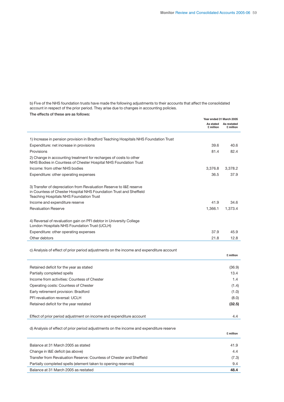**£ million**

b) Five of the NHS foundation trusts have made the following adjustments to their accounts that affect the consolidated account in respect of the prior period. They arise due to changes in accounting policies.

|  | The effects of these are as follows: |
|--|--------------------------------------|
|--|--------------------------------------|

|                                                                                                                                                                                      |           | Year ended 31 March 2005           |
|--------------------------------------------------------------------------------------------------------------------------------------------------------------------------------------|-----------|------------------------------------|
|                                                                                                                                                                                      | £ million | As stated As restated<br>£ million |
| 1) Increase in pension provision in Bradford Teaching Hospitals NHS Foundation Trust                                                                                                 |           |                                    |
| Expenditure: net increase in provisions                                                                                                                                              | 39.6      | 40.6                               |
| Provisions                                                                                                                                                                           | 81.4      | 82.4                               |
| 2) Change in accounting treatment for recharges of costs to other<br>NHS Bodies in Countess of Chester Hospital NHS Foundation Trust                                                 |           |                                    |
| Income: from other NHS bodies                                                                                                                                                        | 3,376.8   | 3,378.2                            |
| Expenditure: other operating expenses                                                                                                                                                | 36.5      | 37.9                               |
| 3) Transfer of depreciation from Revaluation Reserve to I&E reserve<br>in Countess of Chester Hospital NHS Foundation Trust and Sheffield<br>Teaching Hospitals NHS Foundation Trust |           |                                    |
| Income and expenditure reserve                                                                                                                                                       | 41.9      | 34.6                               |
| <b>Revaluation Reserve</b>                                                                                                                                                           | 1,366.1   | 1.373.4                            |
| 4) Reversal of revaluation gain on PFI debtor in University College<br>London Hospitals NHS Foundation Trust (UCLH)                                                                  |           |                                    |
| Expenditure: other operating expenses                                                                                                                                                | 37.9      | 45.9                               |
| Other debtors                                                                                                                                                                        | 21.8      | 12.8                               |
| c) Analysis of effect of prior period adjustments on the income and expenditure account                                                                                              |           | £ million                          |
|                                                                                                                                                                                      |           |                                    |
| Retained deficit for the year as stated                                                                                                                                              |           | (36.9)                             |
| Partially completed spells                                                                                                                                                           |           | 13.4                               |
| Income from activities: Countess of Chester                                                                                                                                          |           | 1.4                                |
| Operating costs: Countess of Chester                                                                                                                                                 |           | (1.4)                              |
| Early retirement provision: Bradford                                                                                                                                                 |           | (1.0)                              |
| PFI revaluation reversal: UCLH                                                                                                                                                       |           | (8.0)                              |
| Retained deficit for the year restated                                                                                                                                               |           | (32.5)                             |
| Effect of prior period adjustment on income and expenditure account                                                                                                                  |           | 4.4                                |

d) Analysis of effect of prior period adjustments on the income and expenditure reserve

| Balance at 31 March 2005 as stated                                   | 41.9  |
|----------------------------------------------------------------------|-------|
| Change in I&E deficit (as above)                                     | 4.4   |
| Transfer from Revaluation Reserve: Countess of Chester and Sheffield | (7.3) |
| Partially completed spells (element taken to opening reserves)       | 9.4   |
| Balance at 31 March 2005 as restated                                 | 48.4  |
|                                                                      |       |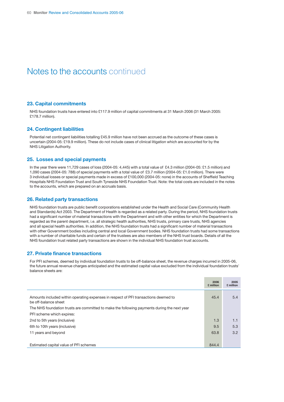## Notes to the accounts continued

#### **23. Capital commitments**

NHS foundation trusts have entered into £117.9 million of capital commitments at 31 March 2006 (31 March 2005: £178.7 million).

#### **24. Contingent liabilities**

Potential net contingent liabilities totalling £45.9 million have not been accrued as the outcome of these cases is uncertain (2004-05: £19.9 million). These do not include cases of clinical litigation which are accounted for by the NHS Litigation Authority.

#### **25. Losses and special payments**

In the year there were 11,729 cases of loss (2004-05: 4,445) with a total value of £4.3 million (2004-05: £1.5 million) and 1,090 cases (2004-05: 788) of special payments with a total value of £3.7 million (2004-05: £1.0 million). There were 3 individual losses or special payments made in excess of £100,000 (2004-05: none) in the accounts of Sheffield Teaching Hospitals NHS Foundation Trust and South Tyneside NHS Foundation Trust. Note: the total costs are included in the notes to the accounts, which are prepared on an accruals basis.

#### **26. Related party transactions**

NHS foundation trusts are public benefit corporations established under the Health and Social Care (Community Health and Standards) Act 2003. The Department of Health is regarded as a related party. During the period, NHS foundation trusts had a significant number of material transactions with the Department and with other entities for which the Department is regarded as the parent department, i.e. all strategic health authorities, NHS trusts, primary care trusts, NHS agencies and all special health authorities. In addition, the NHS foundation trusts had a significant number of material transactions with other Government bodies including central and local Government bodies. NHS foundation trusts had some transactions with a number of charitable funds and certain of the trustees are also members of the NHS trust boards. Details of all the NHS foundation trust related party transactions are shown in the individual NHS foundation trust accounts.

#### **27. Private finance transactions**

For PFI schemes, deemed by individual foundation trusts to be off-balance sheet, the revenue charges incurred in 2005-06, the future annual revenue charges anticipated and the estimated capital value excluded from the individual foundation trusts' balance sheets are:

|                                                                                                             | 2006<br>£ million | 2005<br>£ million |
|-------------------------------------------------------------------------------------------------------------|-------------------|-------------------|
| Amounts included within operating expenses in respect of PFI transactions deemed to<br>be off-balance sheet | 45.4              | 5.4               |
| The NHS foundation trusts are committed to make the following payments during the next year                 |                   |                   |
| PFI scheme which expires:                                                                                   |                   |                   |
| 2nd to 5th years (inclusive)                                                                                | 1.3               | 1.1               |
| 6th to 10th years (inclusive)                                                                               | 9.5               | 5.3               |
| 11 years and beyond                                                                                         | 63.8              | 3.2               |
|                                                                                                             |                   |                   |
| Estimated capital value of PFI schemes                                                                      | 844.4             |                   |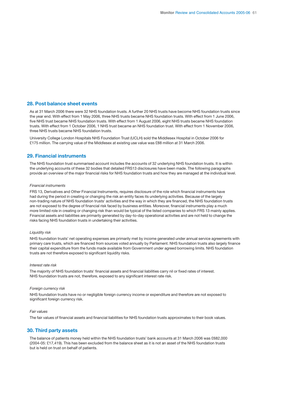#### **28. Post balance sheet events**

As at 31 March 2006 there were 32 NHS foundation trusts. A further 20 NHS trusts have become NHS foundation trusts since the year end. With effect from 1 May 2006, three NHS trusts became NHS foundation trusts. With effect from 1 June 2006, five NHS trust became NHS foundation trusts. With effect from 1 August 2006, eight NHS trusts became NHS foundation trusts. With effect from 1 October 2006, 1 NHS trust became an NHS foundation trust. With effect from 1 November 2006, three NHS trusts became NHS foundation trusts.

University College London Hospitals NHS Foundation Trust (UCLH) sold the Middlesex Hospital in October 2006 for £175 million. The carrying value of the Middlesex at existing use value was £88 million at 31 March 2006.

#### **29. Financial instruments**

The NHS foundation trust summarised account includes the accounts of 32 underlying NHS foundation trusts. It is within the underlying accounts of these 32 bodies that detailed FRS13 disclosures have been made. The following paragraphs provide an overview of the major financial risks for NHS foundation trusts and how they are managed at the individual level.

#### *Financial instruments*

FRS 13, Derivatives and Other Financial Instruments, requires disclosure of the role which financial instruments have had during the period in creating or changing the risk an entity faces its underlying activities. Because of the largely non-trading nature of NHS foundation trusts' activities and the way in which they are financed, the NHS foundation trusts are not exposed to the degree of financial risk faced by business entities. Moreover, financial instruments play a much more limited role in creating or changing risk than would be typical of the listed companies to which FRS 13 mainly applies. Financial assets and liabilities are primarily generated by day-to-day operational activities and are not held to change the risks facing NHS foundation trusts in undertaking their activities.

#### *Liquidity risk*

NHS foundation trusts' net operating expenses are primarily met by income generated under annual service agreements with primary care trusts, which are financed from sources voted annually by Parliament. NHS foundation trusts also largely finance their capital expenditure from the funds made available from Government under agreed borrowing limits. NHS foundation trusts are not therefore exposed to significant liquidity risks.

#### *Interest rate risk*

The majority of NHS foundation trusts' financial assets and financial liabilities carry nil or fixed rates of interest. NHS foundation trusts are not, therefore, exposed to any significant interest rate risk.

#### *Foreign currency risk*

NHS foundation trusts have no or negligible foreign currency income or expenditure and therefore are not exposed to significant foreign currency risk.

#### *Fair values*

The fair values of financial assets and financial liabilities for NHS foundation trusts approximates to their book values.

#### **30. Third party assets**

The balance of patients money held within the NHS foundation trusts' bank accounts at 31 March 2006 was £682,000 (2004-05: £17,419). This has been excluded from the balance sheet as it is not an asset of the NHS foundation trusts but is held on trust on behalf of patients.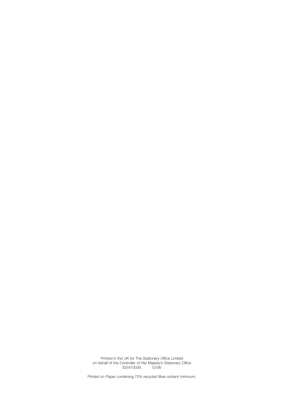Printed in the UK for The Stationery Office Limited on behalf of the Controller of Her Majesty's Stationery Office ID5470036 12/06

Printed on Paper containing 75% recycled fibre content minimum.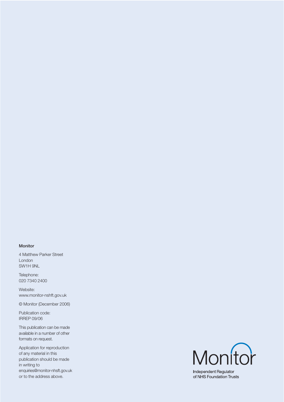#### **Monitor**

4 Matthew Parker Street London SW1H 9NL

Telephone: 020 7340 2400

Website: www.monitor-nshft.gov.uk

© Monitor (December 2006)

Publication code: IRREP 09/06

This publication can be made available in a number of other formats on request.

Application for reproduction of any material in this publication should be made in writing to enquiries@monitor-nhsft.gov.uk or to the address above.



Independent Regulator of NHS Foundation Trusts